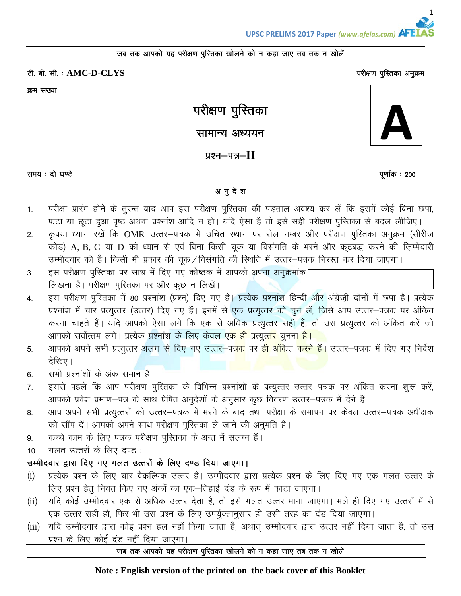# जब तक आपको यह परीक्षण पुस्तिका खोलने को न कहा जाए तब तक न खोलें

टी. बी. सी.: AMC-D-CLYS

क्रम संख्या

# परीक्षण पुस्तिका

सामान्य अध्ययन

# प्रश्न–पत्र–II

समय: दो घण्टे

परीक्षण पुस्तिका अनुक्रम

 $\mathbf{1}$ 

पूर्णांक : 200

# अनुदेश

- परीक्षा प्रारंभ होने के तुरन्त बाद आप इस परीक्षण पुस्तिका की पड़ताल अवश्य कर लें कि इसमें कोई बिना छपा,  $\mathbf{1}$ . फटा या छूटा हुआ पृष्ठ अथवा प्रश्नांश आदि न हो। यदि ऐसा है तो इसे सही परीक्षण पुस्तिका से बदल लीजिए।
- कृपया ध्यान रखें कि OMR उत्तर-पत्रक में उचित स्थान पर रोल नम्बर और परीक्षण पुरितका अनुक्रम (सीरीज़  $2.$ कोड) A, B, C या D को ध्यान से एवं बिना किसी चूक या विसंगति के भरने और कूटबद्ध करने की ज़िम्मेदारी उम्मीदवार की है। किसी भी प्रकार की चूक / विसंगति की स्थिति में उत्तर-पत्रक निरस्त कर दिया जाएगा।
- इस परीक्षण पुस्तिका पर साथ में दिए गए कोष्ठक में आपको अपना अनुक्रमांक  $3<sub>l</sub>$ लिखना है। परीक्षण पुस्तिका पर और कुछ न लिखें।
- इस परीक्षण पुस्तिका में 80 प्रश्नांश (प्रश्न) दिए गए हैं। प्रत्येक प्रश्नांश हिन्दी और अंग्रेज़ी दोनों में छपा है। प्रत्येक  $4.$ प्रश्नांश में चार प्रत्युत्तर (उत्तर) दिए गए हैं। इनमें से एक प्रत्युत्तर को चुन लें, जिसे आप उत्तर–पत्रक पर अंकित करना चाहते हैं। यदि आपको ऐसा लगे कि एक से अधिक प्रत्युत्तर सही हैं, तो उस प्रत्युत्तर को अंकित करें जो आपको सर्वोत्तम लगे। प्रत्येक प्रश्नांश के लिए केवल ए<mark>क ही प्र</mark>त्युत्त<mark>र</mark> चुनना है।
- आपको अपने सभी प्रत्युत्तर अलग से दिए गए उत्तर–पत्र<mark>क</mark> पर <mark>ही अंकित करने हैं।</mark> उत्तर–पत्रक में दिए गए निर्देश 5. देखिए।
- सभी प्रश्नांशों के अंक समान हैं। 6.
- इससे पहले कि आप परीक्षण पुस्तिका के विभिन्न प्रश्नांशों के प्रत्युत्तर उत्तर–पत्रक पर अंकित करना शुरू करें,  $7<sub>1</sub>$ आपको प्रवेश प्रमाण-पत्र के साथ प्रेषित अनुदेशों के अनुसार कूछ विवरण उत्तर-पत्रक में देने हैं।
- आप अपने सभी प्रत्युत्तरों को उत्तर-पत्रक में भरने के बाद तथा परीक्षा के समापन पर केवल उत्तर-पत्रक अधीक्षक 8. को सौंप दें। आपको अपने साथ परीक्षण पुस्तिका ले जाने की अनुमति है।
- कच्चे काम के लिए पत्रक परीक्षण पुरितका के अन्त में संलग्न हैं। 9.
- गलत उत्तरों के लिए दण्ड:  $10.$

# उम्मीदवार द्वारा दिए गए गलत उत्तरों के लिए दण्ड दिया जाएगा।

- प्रत्येक प्रश्न के लिए चार वैकल्पिक उत्तर हैं। उम्मीदवार द्वारा प्रत्येक प्रश्न के लिए दिए गए एक गलत उत्तर के  $(i)$ लिए प्रश्न हेतु नियत किए गए अंकों का एक-तिहाई दंड के रूप में काटा जाएगा।
- यदि कोई उम्मीदवार एक से अधिक उत्तर देता है, तो इसे गलत उत्तर माना जाएगा। भले ही दिए गए उत्तरों में से  $(ii)$ एक उत्तर सही हो, फिर भी उस प्रश्न के लिए उपर्युक्तानुसार ही उसी तरह का दंड दिया जाएगा।
- यदि उम्मीदवार द्वारा कोई प्रश्न हल नहीं किया जाता है, अर्थात उम्मीदवार द्वारा उत्तर नहीं दिया जाता है, तो उस  $(iii)$ प्रश्न के लिए कोई दंड नहीं दिया जाएगा।

जब तक आपको यह परीक्षण पुस्तिका खोलने को न कहा जाए तब तक न खोलें

# Note: English version of the printed on the back cover of this Booklet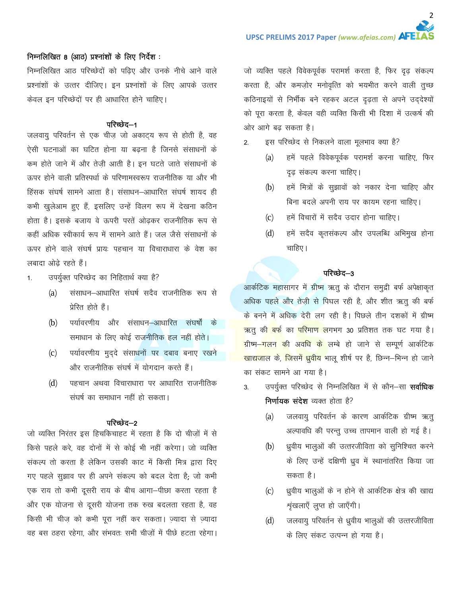#### निम्नलिखित 8 (आठ) प्रश्नांशों के लिए निर्देश:

निम्नलिखित आठ परिच्छेदों को पढ़िए और उनके नीचे आने वाले प्रश्नांशों के उत्तर दीजिए। इन प्रश्नांशों के लिए आपके उत्तर केवल इन परिच्छेदों पर ही आधारित होने चाहिए।

#### परिच्छेद–1

जलवायु परिवर्तन से एक चीज़ जो अकाट्य रूप से होती है, वह ऐसी घटनाओं का घटित होना या बढ़ना है जिनसे संसाधनों के कम होते जाने में और तेजी आती है। इन घटते जाते संसाधनों के ऊपर होने वाली प्रतिस्पर्धा के परिणामस्वरूप राजनीतिक या और भी हिंसक संघर्ष सामने आता है। संसाधन–आधारित संघर्ष शायद ही कभी खुलेआम हुए हैं, इसलिए उन्हें विलग रूप में देखना कठिन होता है। इसके बजाय वे ऊपरी परतें ओढकर राजनीतिक रूप से कहीं अधिक स्वीकार्य रूप में सामने आते हैं। जल जैसे संसाधनों के ऊपर होने वाले संघर्ष प्रायः पहचान या विचाराधारा के वेश का लबादा ओढे रहते हैं।

- उपर्युक्त परिच्छेद का निहितार्थ क्या है?  $1.$ 
	- संसाधन–आधारित संघर्ष सदैव राजनीतिक रूप से  $(a)$ प्रेरित होते हैं।
	- पर्यावरणीय और संसाधन–आधारित संघर्षों के  $(b)$ समाधान के लिए कोई राजनीतिक हल नहीं होते।
	- पर्यावरणीय मृद्दे संसाधनों पर दबाव बनाए रखने  $(c)$ और राजनीतिक संघर्ष में योगदान करते हैं।
	- पहचान अथवा विचाराधारा पर आधारित राजनीतिक  $(d)$ संघर्ष का समाधान नहीं हो सकता।

#### परिच्छेद–2

जो व्यक्ति निरंतर इस हिचकिचाहट में रहता है कि दो चीजों में से किसे पहले करे, वह दोनों में से कोई भी नहीं करेगा। जो व्यक्ति संकल्प तो करता है लेकिन उसकी काट में किसी मित्र द्वारा दिए गए पहले सुझाव पर ही अपने संकल्प को बदल देता है; जो कभी एक राय तो कभी दूसरी राय के बीच आगा-पीछा करता रहता है और एक योजना से दूसरी योजना तक रुख बदलता रहता है, वह किसी भी चीज़ को कभी पूरा नहीं कर सकता। ज्यादा से ज्यादा वह बस ठहरा रहेगा, और संभवतः सभी चीजों में पीछे हटता रहेगा।

जो व्यक्ति पहले विवेकपूर्वक परामर्श करता है, फिर दृढ़ संकल्प करता है, और कमज़ोर मनोवृत्ति को भयभीत करने वाली तुच्छ कठिनाइयों से निर्भीक बने रहकर अटल दृढ़ता से अपने उद्देश्यों को पूरा करता है, केवल वही व्यक्ति किसी भी दिशा में उत्कर्ष की ओर आगे बढ सकता है।

- इस परिच्छेद से निकलने वाला मूलभाव क्या है?  $2<sup>2</sup>$ 
	- हमें पहले विवेकपूर्वक परामर्श करना चाहिए, फिर  $(a)$ दृढ़ संकल्प करना चाहिए।
	- हमें मित्रों के सुझावों को नकार देना चाहिए और  $(b)$ बिना बदले अपनी राय पर कायम रहना चाहिए।
	- हमें विचारों में सदैव उदार होना चाहिए।  $(c)$
	- हमें सदैव कृतसंकल्प और उपलब्धि अभिमुख होना  $(d)$ चाहिए।

#### परिच्छेद–3

आर्कटिक महासागर में ग्रीष्म ऋतु के दौरान समुद्री बर्फ अपेक्षाकृत अधिक पहले और तेज़ी से पिघल रही है, और शीत ऋतु की बर्फ के बनने में अधिक देरी लग रही है। पिछले तीन दशकों में ग्रीष्म <mark>ऋतु की बर्फ</mark> का <mark>परिमाण ल</mark>गभग 30 प्रतिशत तक घट गया है। <mark>ग्रीष्म–गलन की अवधि के </mark>लम्बे हो जाने से सम्पूर्ण आर्कटिक खाद्यजाल के, जिसमें ध्रुवीय भालू शीर्ष पर है, छिन्न–भिन्न हो जाने का संकट सामने आ गया है।

- उपर्युक्त परिच्छेद से निम्नलिखित में से कौन–सा **सर्वाधिक**  $3<sub>l</sub>$ निर्णायक संदेश व्यक्त होता है?
	- जलवायु परिवर्तन के कारण आर्कटिक ग्रीष्म ऋतु  $(a)$ अल्पावधि की परन्तु उच्च तापमान वाली हो गई है।
	- ध्रुवीय भालुओं की उत्तरजीविता को सुनिश्चित करने  $(b)$ के लिए उन्हें दक्षिणी ध्रुव में स्थानांतरित किया जा सकता है।
	- ध्रुवीय भालुओं के न होने से आर्कटिक क्षेत्र की खाद्य  $(c)$ शृंखलाएँ लूप्त हो जाएँगी।
	- जलवायु परिवर्तन से ध्रुवीय भालुओं की उत्तरजीविता  $(d)$ के लिए संकट उत्पन्न हो गया है।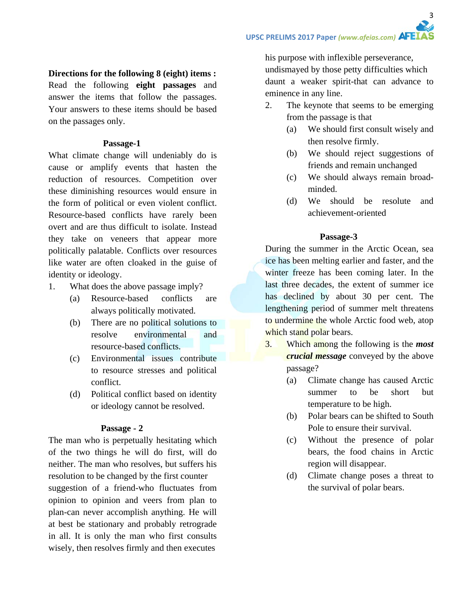**Directions for the following 8 (eight) items :** Read the following **eight passages** and answer the items that follow the passages. Your answers to these items should be based on the passages only.

## **Passage-1**

 What climate change will undeniably do is cause or amplify events that hasten the reduction of resources. Competition over these diminishing resources would ensure in the form of political or even violent conflict. Resource-based conflicts have rarely been overt and are thus difficult to isolate. Instead they take on veneers that appear more politically palatable. Conflicts over resources like water are often cloaked in the guise of identity or ideology.

- 1. What does the above passage imply?
	- (a) Resource-based conflicts are always politically motivated.
	- (b) There are no political solutions to resolve environmental and resource-based conflicts.
	- (c) Environmental issues contribute to resource stresses and political conflict.
	- (d) Political conflict based on identity or ideology cannot be resolved.

#### **Passage - 2**

 The man who is perpetually hesitating which of the two things he will do first, will do neither. The man who resolves, but suffers his resolution to be changed by the first counter suggestion of a friend-who fluctuates from opinion to opinion and veers from plan to plan-can never accomplish anything. He will at best be stationary and probably retrograde in all. It is only the man who first consults wisely, then resolves firmly and then executes

 his purpose with inflexible perseverance, undismayed by those petty difficulties which daunt a weaker spirit-that can advance to eminence in any line.

3

- 2. The keynote that seems to be emerging from the passage is that
	- (a) We should first consult wisely and then resolve firmly.
	- (b) We should reject suggestions of friends and remain unchanged
	- (c) We should always remain broadminded.
	- (d) We should be resolute and achievement-oriented

#### **Passage-3**

 During the summer in the Arctic Ocean, sea ice has been melting earlier and faster, and the winter freeze has been coming later. In the last three decades, the extent of summer ice has declined by about 30 per cent. The lengthening period of summer melt threatens to undermine the whole Arctic food web, atop which stand polar bears.

- 3. Which among the following is the *most crucial message* conveyed by the above passage?
	- (a) Climate change has caused Arctic summer to be short but temperature to be high.
	- (b) Polar bears can be shifted to South Pole to ensure their survival.
	- (c) Without the presence of polar bears, the food chains in Arctic region will disappear.
	- (d) Climate change poses a threat to the survival of polar bears.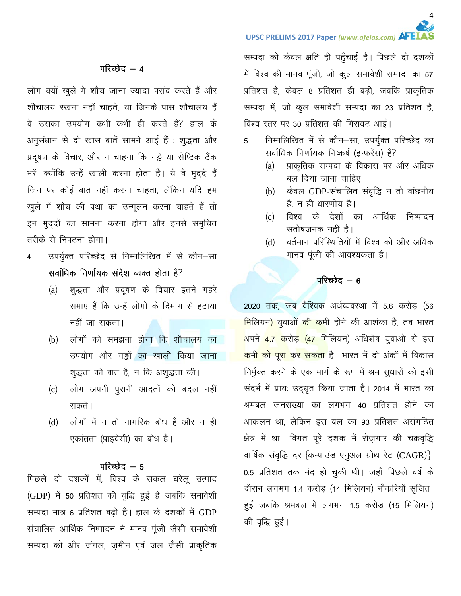# परिच्छेद $-4$

लोग क्यों खुले में शौच जाना ज़्यादा पसंद करते हैं और शौचालय रखना नहीं चाहते. या जिनके पास शौचालय हैं वे उसका उपयोग कभी–कभी ही करते हैं? हाल के अनुसंधान से दो खास बातें सामने आई हैं : शुद्धता और प्रदूषण के विचार, और न चाहना कि गड्ढे या सेप्टिक टैंक भरें, क्योंकि उन्हें खाली करना होता है। ये वे मुददे हैं जिन पर कोई बात नहीं करना चाहता, लेकिन यदि हम खुले में शौच की प्रथा का उन्मूलन करना चाहते हैं तो इन मुददों का सामना करना होगा और इनसे समुचित तरीके से निपटना होगा।

- उपर्युक्त परिच्छेद से निम्नलिखित में से कौन-सा  $4.$ **सर्वाधिक निर्णायक संदेश** व्यक्त होता है?
	- शुद्धता और प्रदूषण के विचार इतने गहरे  $(a)$ समाए हैं कि उन्हें लोगों के दिमाग से हटाया नहीं जा सकता।
	- $(b)$ लोगों को समझना हो<mark>गा कि शौचा</mark>लय का उपयोग और गड्ढों का खाली किया जाना शुद्धता की बात है, न कि अशुद्धता की।
	- लोग अपनी पुरानी आदतों को बदल नहीं  $(c)$ सकते ।
	- लोगों में न तो नागरिक बोध है और न ही  $(d)$ एकांतता (प्राइवेसी) का बोध है।

# परिच्छेद $-5$

पिछले दो दशकों में, विश्व के सकल घरेलू उत्पाद (GDP) में 50 प्रतिशत की वृद्धि हुई है जबकि समावेशी सम्पदा मात्र 6 प्रतिशत बढी है। हाल के दशकों में GDP संचालित आर्थिक निष्पादन ने मानव पूंजी जैसी समावेशी सम्पदा को और जंगल, ज़मीन एवं जल जैसी प्राकृतिक सम्पदा को केवल क्षति ही पहुँचाई है। पिछले दो दशकों में विश्व की मानव पूंजी, जो कूल समावेशी सम्पदा का 57 प्रतिशत है, केवल 8 प्रतिशत ही बढ़ी, जबकि प्राकृतिक सम्पदा में, जो कुल समावेशी सम्पदा का 23 प्रतिशत है, विश्व स्तर पर 30 प्रतिशत की गिरावट आई।

- निम्नलिखित में से कौन-सा, उपर्युक्त परिच्छेद का 5. सर्वाधिक निर्णायक निष्कर्ष (इन्फरेंस) है?
	- $(a)$ प्राकृतिक सम्पदा के विकास पर और अधिक बल दिया जाना चाहिए।
	- केवल GDP-संचालित संवृद्धि न तो वांछनीय  $(b)$ है. न ही धारणीय है।
	- विश्व के देशों का आर्थिक निष्पादन  $(c)$ संतोषजनक नहीं है।
	- वर्तमान परिस्थितियों में विश्व को और अधिक  $(d)$ मानव पूंजी की आवश्यकता है।

# परिच्छेद $-6$

2020 तक, जब वैश्विक अर्थव्यवस्था में 5.6 करोड़ (56 <mark>मिलियन) युवाओं की क</mark>मी होने की आशंका है, तब भारत <mark>अपने 4.7 करोड़ (47 मिलियन) अधिशेष युवाओं से इस</mark> <mark>कमी को पूरा कर सकता</mark> है। भारत में दो अंकों में विकास निर्मुक्त करने के एक मार्ग के रूप में श्रम सुधारों को इसी संदर्भ में प्रायः उद्धृत किया जाता है। 2014 में भारत का श्रमबल जनसंख्या का लगभग 40 प्रतिशत होने का आकलन था, लेकिन इस बल का 93 प्रतिशत असंगठित क्षेत्र में था। विगत पूरे दशक में रोज़गार की चक्रवृद्धि वार्षिक संवृद्धि दर किम्पाउंड एन्अल ग्रोथ रेट (CAGR)} 0.5 प्रतिशत तक मंद हो चुकी थी। जहाँ पिछले वर्ष के दौरान लगभग 1.4 करोड़ (14 मिलियन) नौकरियाँ सृजित हुईं जबकि श्रमबल में लगभग 1.5 करोड़ (15 मिलियन) की वृद्धि हुई।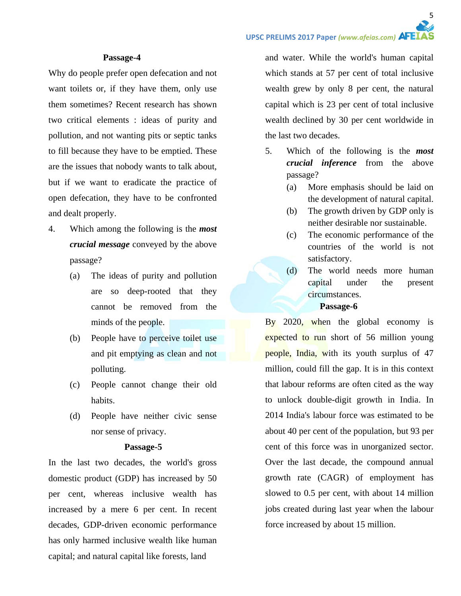#### **Passage-4**

 Why do people prefer open defecation and not want toilets or, if they have them, only use them sometimes? Recent research has shown two critical elements : ideas of purity and pollution, and not wanting pits or septic tanks to fill because they have to be emptied. These are the issues that nobody wants to talk about, but if we want to eradicate the practice of open defecation, they have to be confronted and dealt properly.

- 4. Which among the following is the *most crucial message* conveyed by the above passage?
	- (a) The ideas of purity and pollution are so deep-rooted that they cannot be removed from the minds of the people.
	- (b) People have to perceive toilet use and pit emptying as clean and not polluting.
	- (c) People cannot change their old habits.
	- (d) People have neither civic sense nor sense of privacy.

#### **Passage-5**

 In the last two decades, the world's gross domestic product (GDP) has increased by 50 per cent, whereas inclusive wealth has increased by a mere 6 per cent. In recent decades, GDP-driven economic performance has only harmed inclusive wealth like human capital; and natural capital like forests, land

 and water. While the world's human capital which stands at 57 per cent of total inclusive wealth grew by only 8 per cent, the natural capital which is 23 per cent of total inclusive wealth declined by 30 per cent worldwide in the last two decades.

5

- 5. Which of the following is the *most crucial inference* from the above passage?
	- (a) More emphasis should be laid on the development of natural capital.
	- (b) The growth driven by GDP only is neither desirable nor sustainable.
	- (c) The economic performance of the countries of the world is not satisfactory.
	- (d) The world needs more human capital under the present circumstances.

## **Passage-6**

By 2020, when the global economy is expected to run short of 56 million young people, India, with its youth surplus of 47 million, could fill the gap. It is in this context that labour reforms are often cited as the way to unlock double-digit growth in India. In 2014 India's labour force was estimated to be about 40 per cent of the population, but 93 per cent of this force was in unorganized sector. Over the last decade, the compound annual growth rate (CAGR) of employment has slowed to 0.5 per cent, with about 14 million jobs created during last year when the labour force increased by about 15 million.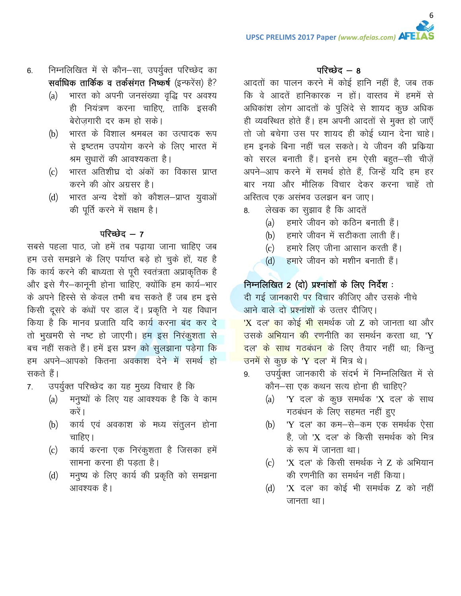- निम्नलिखित में से कौन-सा, उपर्युक्त परिच्छेद का 6. सर्वाधिक तार्किक व तर्कसंगत निष्कर्ष (इन्फरेंस) है?
	- भारत को अपनी जनसंख्या वृद्धि पर अवश्य  $(a)$ ही नियंत्रण करना चाहिए, ताकि इसकी बेरोजगारी दर कम हो सके।
	- (b) भारत के विशाल श्रमबल का उत्पादक रूप से इष्टतम उपयोग करने के लिए भारत में श्रम सुधारों की आवश्यकता है।
	- भारत अतिशीघ्र दो अंकों का विकास प्राप्त  $(c)$ करने की ओर अग्रसर है।
	- भारत अन्य देशों को कौशल—प्राप्त युवाओं  $(d)$ की पूर्ति करने में सक्षम है।

# परिच्छेद $-7$

सबसे पहला पाठ, जो हमें तब पढाया जाना चाहिए जब हम उसे समझने के लिए पर्याप्त बड़े हो चुके हों, यह है कि कार्य करने की बाध्यता से पूरी स्वतंत्रता अप्राकृतिक है और इसे गैर-कानूनी होना चाहिए, क्योंकि हम कार्य-भार के अपने हिस्से से केवल तभी बच सकते हैं जब हम इसे किसी दूसरे के कंधों पर डाल दें। प्रकृति ने यह विधान किया है कि मानव प्रजाति यदि कार्य करना बंद कर दे तो भुखमरी से नष्ट हो जाएगी। हम इस निरंकुशता से बच नहीं सकते हैं। हमें इस प्रश्न को सुलझाना पड़ेगा कि हम अपने–आपको कितना अवकाश देने में समर्थ हो सकते हैं।

- उपर्युक्त परिच्छेद का यह मुख्य विचार है कि  $7<sub>1</sub>$ 
	- मनुष्यों के लिए यह आवश्यक है कि वे काम  $(a)$ करें ।
	- कार्य एवं अवकाश के मध्य संतुलन होना  $(b)$ चाहिए।
	- कार्य करना एक निरंकुशता है जिसका हमें  $(c)$ सामना करना ही पडता है।
	- मनुष्य के लिए कार्य की प्रकृति को समझना  $(d)$ आवश्यक है।

# परिच्छेद $-8$

आदतों का पालन करने में कोई हानि नहीं है, जब तक कि वे आदतें हानिकारक न हों। वास्तव में हममें से अधिकांश लोग आदतों के पुलिंदे से शायद कुछ अधिक ही व्यवस्थित होते हैं। हम अपनी आदतों से मुक्त हो जाएँ तो जो बचेगा उस पर शायद ही कोई ध्यान देना चाहे। हम इनके बिना नहीं चल सकते। ये जीवन की प्रक्रिया को सरल बनाती हैं। इनसे हम ऐसी बहुत–सी चीज़ें अपने–आप करने में समर्थ होते हैं, जिन्हें यदि हम हर बार नया और मौलिक विचार देकर करना चाहें तो अस्तित्व एक असंभव उलझन बन जाए।

- लेखक का सूझाव है कि आदतें 8.
	- $(a)$ हमारे जीवन को कठिन बनाती हैं।
	- हमारे जीवन में सटीकता लाती हैं।  $(b)$
	- हमारे लिए जीना आसान करती हैं।  $(c)$
	- हमारे जीवन को मशीन बनाती हैं।  $(d)$

# निम्नलिखित 2 (दो) प्रश्नांशों के लिए निर्देश:

दी गई जानकारी पर विचार कीजिए और उसके नीचे आने वाले दो प्रश्नांशों के उत्तर दीजिए। <mark>'X</mark> दल<mark>' का कोई भी सम</mark>र्थक जो Z को जानता था और <mark>उसके अभियान की रण</mark>नीति का समर्थन करता था, 'Y दल' <mark>के साथ गठ</mark>बंध<mark>न के</mark> लिए तैयार नहीं था; किन्तू

- <mark>उनमें से कुछ के 'Y दल</mark>' में मित्र थे।
- उपर्युक्त जानकारी के संदर्भ में निम्नलिखित में से 9. कौन–सा एक कथन सत्य होना ही चाहिए?
	- 'Y दल' के कूछ समर्थक 'X दल' के साथ  $(a)$ गठबंधन के लिए सहमत नहीं हुए
	- 'Y दल' का कम–से–कम एक समर्थक ऐसा  $(b)$ है. जो 'X दल' के किसी समर्थक को मित्र के रूप में जानता था।
	- 'X दल' के किसी समर्थक ने Z के अभियान  $(c)$ की रणनीति का समर्थन नहीं किया।
	- 'X दल' का कोई भी समर्थक Z को नहीं  $(d)$ जानता था।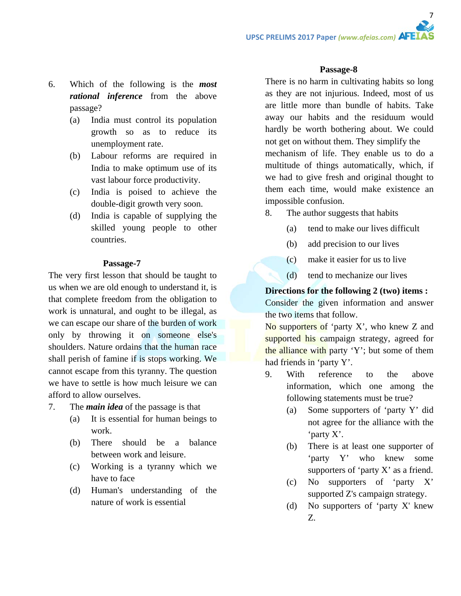7

- 6. Which of the following is the *most rational inference* from the above passage?
	- (a) India must control its population growth so as to reduce its unemployment rate.
	- (b) Labour reforms are required in India to make optimum use of its vast labour force productivity.
	- (c) India is poised to achieve the double-digit growth very soon.
	- (d) India is capable of supplying the skilled young people to other countries.

# **Passage-7**

 The very first lesson that should be taught to us when we are old enough to understand it, is that complete freedom from the obligation to work is unnatural, and ought to be illegal, as we can escape our share of the burden of work only by throwing it on someone else's shoulders. Nature ordains that the human race shall perish of famine if is stops working. We cannot escape from this tyranny. The question we have to settle is how much leisure we can afford to allow ourselves.

- 7. The *main idea* of the passage is that
	- (a) It is essential for human beings to work.
	- (b) There should be a balance between work and leisure.
	- (c) Working is a tyranny which we have to face
	- (d) Human's understanding of the nature of work is essential

# **Passage-8**

 There is no harm in cultivating habits so long as they are not injurious. Indeed, most of us are little more than bundle of habits. Take away our habits and the residuum would hardly be worth bothering about. We could not get on without them. They simplify the mechanism of life. They enable us to do a multitude of things automatically, which, if we had to give fresh and original thought to them each time, would make existence an impossible confusion.

- 8. The author suggests that habits
	- (a) tend to make our lives difficult
	- (b) add precision to our lives
	- (c) make it easier for us to live
	- (d) tend to mechanize our lives

# **Directions for the following 2 (two) items :**

 Consider the given information and answer the two items that follow.

No supporters of 'party  $X$ ', who knew  $Z$  and supported his campaign strategy, agreed for the alliance with party 'Y'; but some of them had friends in 'party Y'.

- 9. With reference to the above information, which one among the following statements must be true?
	- (a) Some supporters of 'party Y' did not agree for the alliance with the 'party X'.
	- (b) There is at least one supporter of 'party Y' who knew some supporters of 'party  $X$ ' as a friend.
	- (c) No supporters of 'party X' supported Z's campaign strategy.
	- (d) No supporters of 'party X' knew Z.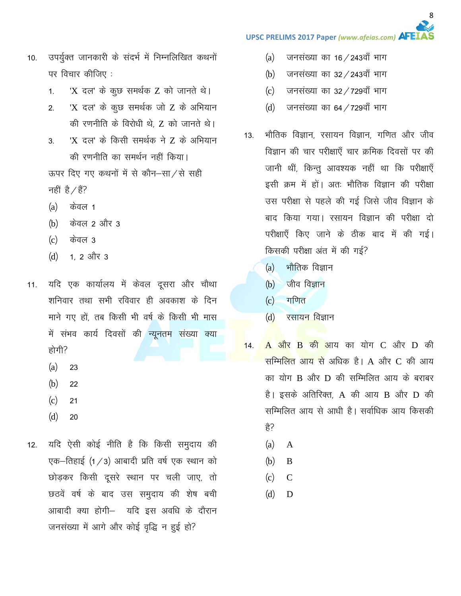- उपर्युक्त जानकारी के संदर्भ में निम्नलिखित कथनों  $10.$ पर विचार कीजिए :
	- 'X दल' के कूछ समर्थक Z को जानते थे।  $1<sub>1</sub>$
	- 'X दल' के कूछ समर्थक जो Z के अभियान  $2.$ की रणनीति के विरोधी थे. Z को जानते थे।
	- 'X दल' के किसी समर्थक ने Z के अभियान  $3<sub>l</sub>$ की रणनीति का समर्थन नहीं किया।

ऊपर दिए गए कथनों में से कौन-सा/से सही नहीं है $/$ हैं?

- (a) केवल 1
- केवल 2 और 3  $(b)$
- $(c)$ केवल 3
- $(d)$  1, 2 और 3
- यदि एक कार्यालय में केवल दूसरा और चौथा  $11.$ शनिवार तथा सभी रविवार ही अवकाश के दिन माने गए हों, तब किसी भी वर्ष के किसी भी मास में संभव कार्य दिवसों की न्यूनतम संख्या क्या होगी?
	- $(a)$ 23
	- $(b)$ 22
	- $(c)$ 21
	- $(d)$ 20
- यदि ऐसी कोई नीति है कि किसी समुदाय की  $12.$ एक-तिहाई (1 / 3) आबादी प्रति वर्ष एक स्थान को छोड़कर किसी दूसरे स्थान पर चली जाए, तो छठवें वर्ष के बाद उस समुदाय की शेष बची आबादी क्या होगी– यदि इस अवधि के दौरान जनसंख्या में आगे और कोई वृद्धि न हुई हो?
- जनसंख्या का 16 / 243वाँ भाग  $(a)$
- $(b)$ जनसंख्या का 32 / 243वाँ भाग
- जनसंख्या का 32 ⁄ 729वाँ भाग  $(c)$
- जनसंख्या का 64 / 729वाँ भाग  $(d)$
- भौतिक विज्ञान, रसायन विज्ञान, गणित और जीव  $13.$ विज्ञान की चार परीक्षाएँ चार क्रमिक दिवसों पर की जानी थीं, किन्तू आवश्यक नहीं था कि परीक्षाएँ इसी क्रम में हों। अतः भौतिक विज्ञान की परीक्षा उस परीक्षा से पहले की गई जिसे जीव विज्ञान के बाद किया गया। रसायन विज्ञान की परीक्षा दो परीक्षाएँ किए जाने के ठीक बाद में की गई। किसकी परीक्षा अंत में की गई?
	- भौतिक विज्ञान  $(a)$
	- जीव विज्ञान  $(b)$
	- गणित  $(c)$
	- रसायन विज्ञान  $(d)$
- <mark>A और B की आ</mark>य का योग C और D की  $14.$ सम्मि<mark>लित आय से</mark> अधिक है। A और C की आय का योग B और D की सम्मिलित आय के बराबर है। इसके अतिरिक्त, A की आय B और D की सम्मिलित आय से आधी है। सर्वाधिक आयूकिसकी हे?
	- $(a)$  $\overline{A}$
	- $(b)$  $\overline{B}$
	- $(c)$  $\mathcal{C}$
	- $(d)$ D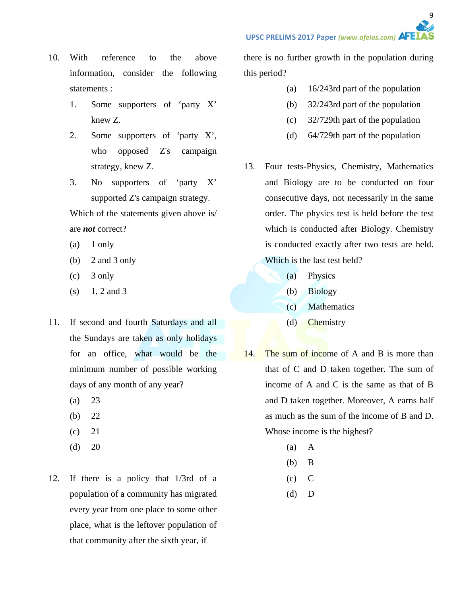- 10. With reference to the above information, consider the following statements :
	- 1. Some supporters of 'party X' knew Z.
	- 2. Some supporters of 'party X', who opposed Z's campaign strategy, knew Z.
	- 3. No supporters of 'party X' supported Z's campaign strategy.

 Which of the statements given above is/ are *not* correct?

- $(a)$  1 only
- (b) 2 and 3 only
- (c) 3 only
- $(s)$  1, 2 and 3
- 11. If second and fourth Saturdays and all the Sundays are taken as only holidays for an office, what would be the minimum number of possible working days of any month of any year?
	- (a) 23
	- (b) 22
	- (c) 21
	- $(d) 20$
- 12. If there is a policy that 1/3rd of a population of a community has migrated every year from one place to some other place, what is the leftover population of that community after the sixth year, if

there is no further growth in the population during this period?

(a) 16/243rd part of the population

9

- (b) 32/243rd part of the population
- (c) 32/729th part of the population
- (d) 64/729th part of the population
- 13. Four tests-Physics, Chemistry, Mathematics and Biology are to be conducted on four consecutive days, not necessarily in the same order. The physics test is held before the test which is conducted after Biology. Chemistry is conducted exactly after two tests are held. Which is the last test held?
	- (a) Physics
	- (b) Biology
	- (c) Mathematics
	- (d) Chemistry
- 14. The sum of income of A and B is more than that of C and D taken together. The sum of income of A and C is the same as that of B and D taken together. Moreover, A earns half as much as the sum of the income of B and D. Whose income is the highest?
	- $(a)$  A
	- (b) B
	- $(c)$  C
	- (d) D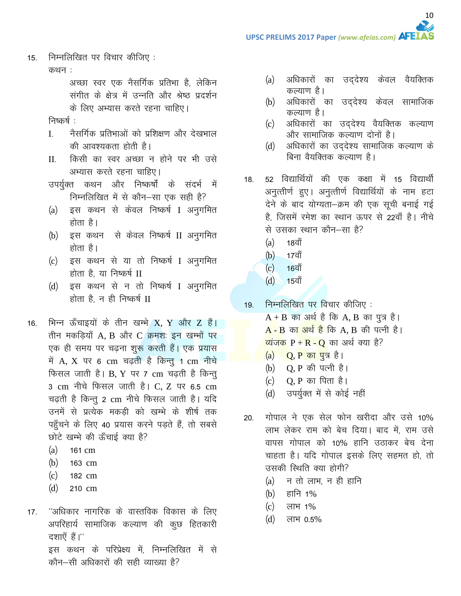- निम्नलिखित पर विचार कीजिए :  $15.$ 
	- कथन $\therefore$

अच्छा स्वर एक नैसर्गिक प्रतिभा है, लेकिन संगीत के क्षेत्र में उन्नति और श्रेष्ठ प्रदर्शन के लिए अभ्यास करते रहना चाहिए।

निष्कर्ष:

- नैसर्गिक प्रतिभाओं को प्रशिक्षण और देखभाल  $\mathbf{I}$ . की आवश्यकता होती है।
- किसी का स्वर अच्छा न होने पर भी उसे  $II.$ अभ्यास करते रहना चाहिए।
- उपर्युक्त कथन और निष्कर्षों के संदर्भ में निम्नलिखित में से कौन–सा एक सही है?
- (a) इस कथन से केवल निष्कर्ष I अनुगमित होता है।
- इस कथन से केवल निष्कर्ष II अनुगमित  $(b)$ होता है।
- (c) इस कथन से या तो निष्कर्ष I अनुगमित होता है, या निष्कर्ष II
- इस कथन से न तो निष्कर्ष I अनुगमित  $(d)$ होता है. न ही निष्कर्ष II
- भिन्न ऊँचाइयों के तीन खम्भे X, Y और Z हैं। 16. तीन मकडियाँ A, B और C क्रमशः इन खम्भों पर एक ही समय पर चढ़ना शुरू करती हैं। एक प्रयास में A, X पर 6 cm चढती है किन्तु 1 cm नीचे फिसल जाती है। B, Y पर 7 cm चढ़ती है किन्तू 3 cm नीचे फिसल जाती है। C. Z पर 6.5 cm चढती है किन्तु 2 cm नीचे फिसल जाती है। यदि उनमें से प्रत्येक मकडी को खम्भे के शीर्ष तक पहुँचने के लिए 40 प्रयास करने पड़ते हैं, तो सबसे छोटे खम्भे की ऊँचाई क्या है?
	- $(a)$ 161 cm
	- $(b)$ 163 cm
	- $(c)$ 182 cm
	- $(d)$ 210 cm
- ''अधिकार नागरिक के वास्तविक विकास के लिए  $17<sub>1</sub>$ अपरिहार्य सामाजिक कल्याण की कूछ हितकारी दशाएँ हैं।'' इस कथन के परिप्रेक्ष्य में. निम्नलिखित में से कौन–सी अधिकारों की सही व्याख्या है?
- अधिकारों का उद्देश्य केवल वैयक्तिक  $(a)$ कल्याण है।
- अधिकारों का उद्देश्य केवल सामाजिक  $(b)$ कल्याण है।
- अधिकारों का उद्देश्य वैयक्तिक कल्याण  $(c)$ और सामाजिक कल्याण दोनों है।
- अधिकारों का उददेश्य सामाजिक कल्याण के  $(d)$ बिना वैयक्तिक कल्याण है।
- 52 विद्यार्थियों की एक कक्षा में 15 विद्यार्थी  $18<sub>1</sub>$ अनूत्तीर्ण हुए। अनूत्तीर्ण विद्यार्थियों के नाम हटा देने के बाद योग्यता-क्रम की एक सूची बनाई गई है. जिसमें रमेश का स्थान ऊपर से 22वाँ है। नीचे से उसका स्थान कौन–सा है?
	- $(a)$ १८वॉ
	- ा7वाँ  $(b)$
	- $(c)$ <u>16वॉ</u>
	- $15\ddot{}$  $(d)$
- निम्नलिखित पर विचार कीजिए:  $19<sub>1</sub>$ 
	- $A + B$  का अर्थ है कि A, B का पुत्र है।
	- $A B$  क<mark>ा अर्थ है</mark> कि A, B की पत्नी है।
	- <u>व्यंजक P + R Q</u> का अर्थ क्या है?
	- $(a)$ Q, P का पुत्र है।
	- $(b)$ Q, P की पत्नी है।
	- (c) Q, P का पिता है।
	- उपर्युक्त में से कोई नहीं  $(d)$
- गोपाल ने एक सेल फोन खरीदा और उसे 10%  $20.$ लाभ लेकर राम को बेच दिया। बाद में, राम उसे वापस गोपाल को 10% हानि उठाकर बेच देना चाहता है। यदि गोपाल इसके लिए सहमत हो, तो उसकी स्थिति क्या होगी?
	- न तो लाभ, न ही हानि  $(a)$
	- हानि 1%  $(b)$
	- $(c)$ लाभ 1%
	- $(d)$ लाभ 0.5%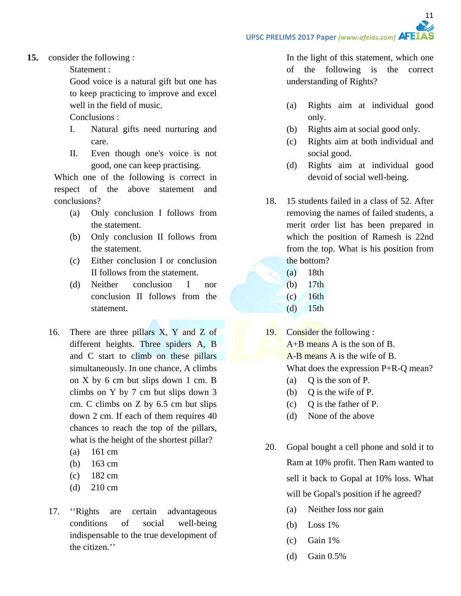**15.** consider the following :

Statement :

 Good voice is a natural gift but one has to keep practicing to improve and excel well in the field of music.

Conclusions :

- I. Natural gifts need nurturing and care.
- II. Even though one's voice is not good, one can keep practising.

 Which one of the following is correct in respect of the above statement and conclusions?

- (a) Only conclusion I follows from the statement.
- (b) Only conclusion II follows from the statement.
- (c) Either conclusion I or conclusion II follows from the statement.
- (d) Neither conclusion I nor conclusion II follows from the statement.
- 16. There are three pillars X, Y and Z of different heights. Three spiders A, B and C start to climb on these pillars simultaneously. In one chance, A climbs on X by 6 cm but slips down 1 cm. B climbs on Y by 7 cm but slips down 3 cm. C climbs on Z by 6.5 cm but slips down 2 cm. If each of them requires 40 chances to reach the top of the pillars, what is the height of the shortest pillar?
	- (a) 161 cm
	- (b) 163 cm
	- (c) 182 cm
	- (d) 210 cm
- 17. ''Rights are certain advantageous conditions of social well-being indispensable to the true development of the citizen.''

 In the light of this statement, which one of the following is the correct understanding of Rights?

11

- (a) Rights aim at individual good only.
- (b) Rights aim at social good only.
- (c) Rights aim at both individual and social good.
- (d) Rights aim at individual good devoid of social well-being.
- 18. 15 students failed in a class of 52. After removing the names of failed students, a merit order list has been prepared in which the position of Ramesh is 22nd from the top. What is his position from the bottom?
	- (a) 18th
	- (b) 17th
	- (c) 16th
	- (d) 15th
- 19. Consider the following :  $A+B$  means A is the son of B. A-B means A is the wife of B. What does the expression P+R-Q mean?
	- (a) Q is the son of P.
	- (b) Q is the wife of P.
	- (c) Q is the father of P.
	- (d) None of the above
- 20. Gopal bought a cell phone and sold it to Ram at 10% profit. Then Ram wanted to sell it back to Gopal at 10% loss. What will be Gopal's position if he agreed?
	- (a) Neither loss nor gain
	- (b) Loss 1%
	- $(c)$  Gain 1%
	- (d) Gain 0.5%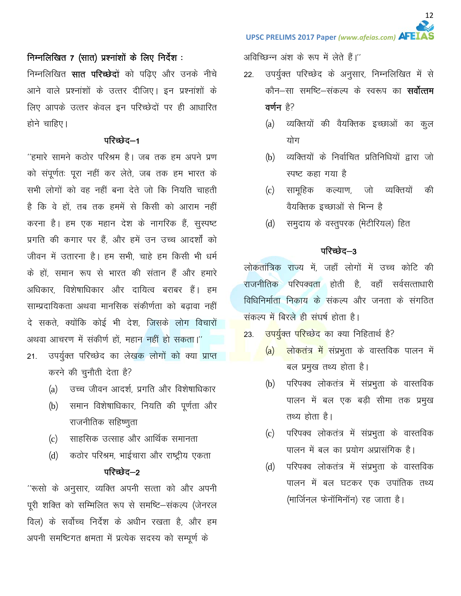# निम्नलिखित 7 (सात) प्रश्नांशों के लिए निर्देश:

निम्नलिखित **सात परिच्छेदों** को पढिए और उनके नीचे आने वाले प्रश्नांशों के उत्तर दीजिए। इन प्रश्नांशों के लिए आपके उत्तर केवल इन परिच्छेदों पर ही आधारित होने चाहिए।

# परिच्छेद–1

"हमारे सामने कठोर परिश्रम है। जब तक हम अपने प्रण को संपूर्णतः पूरा नहीं कर लेते, जब तक हम भारत के सभी लोगों को वह नहीं बना देते जो कि नियति चाहती है कि वे हों, तब तक हममें से किसी को आराम नहीं करना है। हम एक महान देश के नागरिक हैं, सुस्पष्ट प्रगति की कगार पर हैं, और हमें उन उच्च आदर्शों को जीवन में उतारना है। हम सभी, चाहे हम किसी भी धर्म के हों, समान रूप से भारत की संतान हैं और हमारे अधिकार, विशेषाधिकार और दायित्व बराबर हैं। हम साम्प्रदायिकता अथवा मानसिक संकीर्णता को बढावा नहीं दे सकते, क्योंकि कोई भी देश, जिसके लोग विचारों अथवा आचरण में संकीर्ण हों. महान नहीं हो सकता।''

- उपर्युक्त परिच्छेद का लेखक लोगों को क्या प्राप्त  $21.$ करने की चुनौती देता है?
	- (a) उच्च जीवन आदर्श, प्रगति और विशेषाधिकार
	- समान विशेषाधिकार, नियति की पूर्णता और  $(b)$ राजनीतिक सहिष्णुता
	- साहसिक उत्साह और आर्थिक समानता  $(c)$
	- कठोर परिश्रम, भाईचारा और राष्ट्रीय एकता  $(d)$

# परिच्छेद–2

"रूसो के अनुसार, व्यक्ति अपनी सत्ता को और अपनी पूरी शक्ति को सम्मिलित रूप से समष्टि–संकल्प (जेनरल विल) के सर्वोच्च निर्देश के अधीन रखता है, और हम अपनी समष्टिगत क्षमता में प्रत्येक सदस्य को सम्पूर्ण के

अविच्छिन्न अंश के रूप में लेते हैं।''

- उपर्युक्त परिच्छेद के अनुसार, निम्नलिखित में से 22. कौन–सा समष्टि–संकल्प के स्वरूप का **सर्वोत्तम** वर्णन $\stackrel{<}{\scriptstyle\sim}$ ?
	- व्यक्तियों की वैयक्तिक इच्छाओं का कुल  $(a)$ योग

12

- व्यक्तियों के निर्वाचित प्रतिनिधियों द्वारा जो  $(b)$ स्पष्ट कहा गया है
- कल्याण, सामूहिक जो व्यक्तियों की  $(c)$ वैयक्तिक इच्छाओं से भिन्न है
- समुदाय के वस्तूपरक (मेटीरियल) हित  $(d)$

# परिच्छेद–3

लोकतांत्रिक राज्य में, जहाँ लोगों में उच्च कोटि की राजनीतिक परिपक्वता होती है, वहाँ सर्वसत्ताधारी विधिनिर्माता निकाय के संकल्प और जनता के संगतित संकल्प में बिरले ही संघर्ष होता है।

- <mark>उपर्युक्त परिच्छेद का क्या निहिता</mark>र्थ है?  $23.$ 
	- (a) लोकतंत्र में संप्रभुता के वास्तविक पालन में बल प्रमुख तथ्य होता है।
	- परिपक्व लोकतंत्र में संप्रभुता के वास्तविक  $(b)$ पालन में बल एक बड़ी सीमा तक प्रमुख तथ्य होता है।
	- परिपक्व लोकतंत्र में संप्रभुता के वास्तविक  $(c)$ पालन में बल का प्रयोग अप्रासंगिक है।
	- परिपक्व लोकतंत्र में संप्रभुता के वास्तविक  $(d)$ पालन में बल घटकर एक उपांतिक तथ्य (मार्जिनल फेनॉमिनॉन) रह जाता है।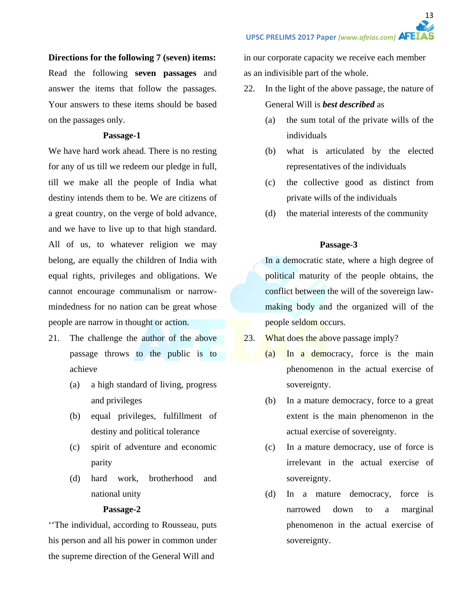**Directions for the following 7 (seven) items:**  Read the following **seven passages** and answer the items that follow the passages. Your answers to these items should be based on the passages only.

#### **Passage-1**

 We have hard work ahead. There is no resting for any of us till we redeem our pledge in full, till we make all the people of India what destiny intends them to be. We are citizens of a great country, on the verge of bold advance, and we have to live up to that high standard. All of us, to whatever religion we may belong, are equally the children of India with equal rights, privileges and obligations. We cannot encourage communalism or narrowmindedness for no nation can be great whose people are narrow in thought or action.

- 21. The challenge the author of the above passage throws to the public is to achieve
	- (a) a high standard of living, progress and privileges
	- (b) equal privileges, fulfillment of destiny and political tolerance
	- (c) spirit of adventure and economic parity
	- (d) hard work, brotherhood and national unity

# **Passage-2**

 ''The individual, according to Rousseau, puts his person and all his power in common under the supreme direction of the General Will and

in our corporate capacity we receive each member as an indivisible part of the whole.

- 22. In the light of the above passage, the nature of General Will is *best described* as
	- (a) the sum total of the private wills of the individuals
	- (b) what is articulated by the elected representatives of the individuals
	- (c) the collective good as distinct from private wills of the individuals
	- (d) the material interests of the community

#### **Passage-3**

 In a democratic state, where a high degree of political maturity of the people obtains, the conflict between the will of the sovereign lawmaking body and the organized will of the people seldom occurs.

- 23. What does the above passage imply?
	- (a) In a democracy, force is the main phenomenon in the actual exercise of sovereignty.
	- (b) In a mature democracy, force to a great extent is the main phenomenon in the actual exercise of sovereignty.
	- (c) In a mature democracy, use of force is irrelevant in the actual exercise of sovereignty.
	- (d) In a mature democracy, force is narrowed down to a marginal phenomenon in the actual exercise of sovereignty.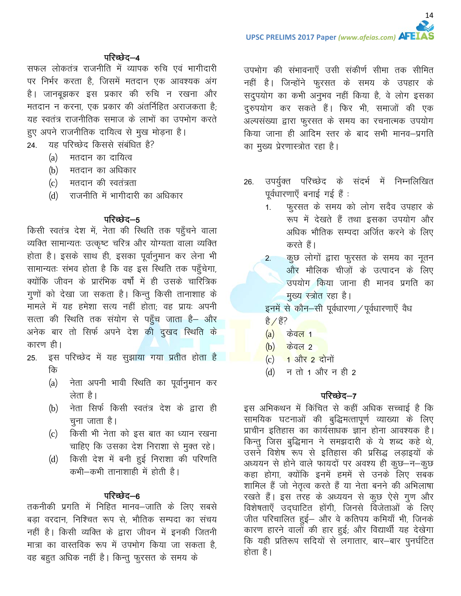# परिच्छेद–4

सफल लोकतंत्र राजनीति में व्यापक रुचि एवं भागीदारी पर निर्भर करता है, जिसमें मतदान एक आवश्यक अंग है। जानबूझकर इस प्रकार की रुचि न रखना और मतदान न करना, एक प्रकार की अंतर्निहित अराजकता है; यह स्वतंत्र राजनीतिक समाज के लाभों का उपभोग करते हुए अपने राजनीतिक दायित्व से मुख मोड़ना है।

- यह परिच्छेद किससे संबंधित है?  $24$ 
	- मतदान का दायित्व  $(a)$
	- $(b)$ मतदान का अधिकार
	- मतदान की स्वतंत्रता  $(c)$
	- $(d)$ राजनीति में भागीदारी का अधिकार

#### परिच्छेद—5

किसी स्वतंत्र देश में, नेता की स्थिति तक पहुँचने वाला व्यक्ति सामान्यतः उत्कृष्ट चरित्र और योग्यता वाला व्यक्ति होता है। इसके साथ ही, इसका पूर्वानुमान कर लेना भी सामान्यतः संभव होता है कि वह इस स्थिति तक पहुँचेगा, क्योंकि जीवन के प्रारंभिक वर्षों में ही उसके चारित्रिक गूणों को देखा जा सकता है। किन्तू किसी तानाशाह के मामले में यह हमेशा सत्य नहीं होता; वह प्रायः अपनी सत्ता की स्थिति तक संयोग से पहुँच जाता है– और अनेक बार तो सिर्फ अपने देश की दुखद स्थिति के कारण ही।

इस परिच्छेद में यह सुझाया गया प्रतीत होता है  $25<sub>1</sub>$ कि

- नेता अपनी भावी स्थिति का पूर्वानुमान कर  $(a)$ लेता है।
- नेता सिर्फ किसी स्वतंत्र देश के द्वारा ही  $(b)$ चुना जाता है।
- किसी भी नेता को इस बात का ध्यान रखना  $(c)$ चाहिए कि उसका देश निराशा से मुक्त रहे।
- किसी देश में बनी हुई निराशा की परिणति  $(d)$ कभी-कभी तानाशाही में होती है।

# परिच्छेद–6

तकनीकी प्रगति में निहित मानव–जाति के लिए सबसे बड़ा वरदान, निश्चित रूप से, भौतिक सम्पदा का संचय नहीं है। किसी व्यक्ति के द्वारा जीवन में इनकी जितनी मात्रा का वास्तविक रूप में उपभोग किया जा सकता है. वह बहुत अधिक नहीं है। किन्तु फ़ुरसत के समय के

उपभोग की संभावनाएँ उसी संकीर्ण सीमा तक सीमित नहीं है। जिन्होंने फुरसत के समय के उपहार के सदुपयोग का कभी अनुभव नहीं किया है, वे लोग इसका दुरुपयोग कर सकते हैं। फिर भी, समाजों की एक अल्पसंख्या द्वारा फुरसत के समय का रचनात्मक उपयोग किया जाना ही आदिम स्तर के बाद सभी मानव-प्रगति का मुख्य प्रेरणास्त्रोत रहा है।

- उपर्युक्त परिच्छेद के संदर्भ में निम्नलिखित 26. पूर्वधारणाएँ बनाई गई हैं :
	- फुरसत के समय को लोग सदैव उपहार के  $1<sup>1</sup>$ रूप में देखते हैं तथा इसका उपयोग और अधिक भौतिक सम्पदा अर्जित करने के लिए करते हैं।
	- कुछ लोगों द्वारा फुरसत के समय का नूतन  $2.$ और मौलिक चीजों के उत्पादन के लिए उपयोग किया जाना ही मानव प्रगति का मुख्य स्त्रोत रहा है।

इनमें से कौन-सी पूर्वधारणा / पूर्वधारणाएँ वैध है / हैं?

- 
- $(a)$  केवल 1
- $(b)$ <u>केवल 2</u>
- $(c)$ 1 और 2 दोनों
- $(d)$ न तो 1 और न ही 2

#### परिच्छेद—7

इस अभिकथन में किंचित से कहीं अधिक सच्चाई है कि सामयिक घटनाओं की बुद्धिमत्तापूर्ण व्याख्या के लिए प्राचीन इतिहास का कार्यसाधक ज्ञान होना आवश्यक है। किन्तु जिस बुद्धिमान ने समझदारी के ये शब्द कहे थे, उसने विशेष रूप से इतिहास की प्रसिद्ध लड़ाइयों के अध्ययन से होने वाले फायदों पर अवश्य ही कूछ–न–कूछ कहा होगा, क्योंकि इनमें हममें से उनके लिए सबक शामिल हैं जो नेतृत्व करते हैं या नेता बनने की अभिलाषा रखते हैं। इस तरह के अध्ययन से कुछ ऐसे गुण और विशेषताएँ उद्घाटित होंगी, जिनसे विजेताओं के लिए जीत परिचालित हुई– और वे कतिपय कमियाँ भी, जिनके कारण हारने वालों की हार हुई; और विद्यार्थी यह देखेगा कि यही प्रतिरूप सदियों से लगातार, बार-बार पुनर्घटित होता है।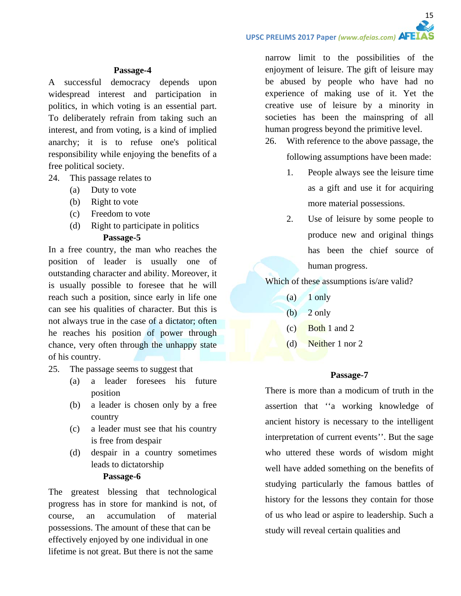#### **Passage-4**

 A successful democracy depends upon widespread interest and participation in politics, in which voting is an essential part. To deliberately refrain from taking such an interest, and from voting, is a kind of implied anarchy; it is to refuse one's political responsibility while enjoying the benefits of a free political society.

- 24. This passage relates to
	- (a) Duty to vote
	- (b) Right to vote
	- (c) Freedom to vote
	- (d) Right to participate in politics **Passage-5**

 In a free country, the man who reaches the position of leader is usually one of outstanding character and ability. Moreover, it is usually possible to foresee that he will reach such a position, since early in life one can see his qualities of character. But this is not always true in the case of a dictator; often he reaches his position of power through chance, very often through the unhappy state of his country.

- 25. The passage seems to suggest that
	- (a) a leader foresees his future position
	- (b) a leader is chosen only by a free country
	- (c) a leader must see that his country is free from despair
	- (d) despair in a country sometimes leads to dictatorship

#### **Passage-6**

 The greatest blessing that technological progress has in store for mankind is not, of course, an accumulation of material possessions. The amount of these that can be effectively enjoyed by one individual in one lifetime is not great. But there is not the same

 narrow limit to the possibilities of the enjoyment of leisure. The gift of leisure may be abused by people who have had no experience of making use of it. Yet the creative use of leisure by a minority in societies has been the mainspring of all human progress beyond the primitive level.

15

- 26. With reference to the above passage, the following assumptions have been made:
	- 1. People always see the leisure time as a gift and use it for acquiring more material possessions.
	- 2. Use of leisure by some people to produce new and original things has been the chief source of human progress.

Which of these assumptions is/are valid?

- (a) 1 only
- (b)  $2 \text{ only}$
- $(c)$  Both 1 and 2
- (d) Neither 1 nor 2

#### **Passage-7**

 There is more than a modicum of truth in the assertion that ''a working knowledge of ancient history is necessary to the intelligent interpretation of current events''. But the sage who uttered these words of wisdom might well have added something on the benefits of studying particularly the famous battles of history for the lessons they contain for those of us who lead or aspire to leadership. Such a study will reveal certain qualities and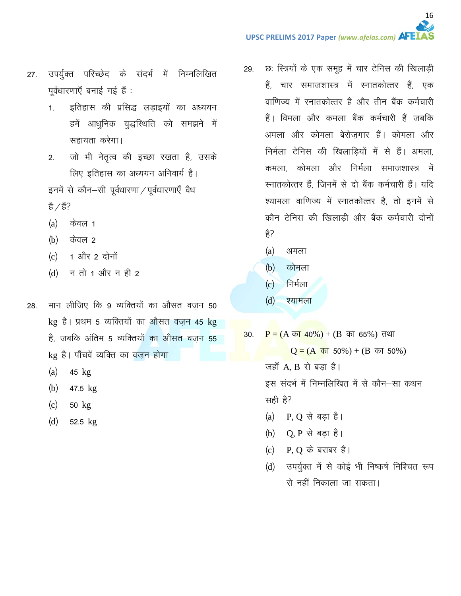16

- उपर्युक्त परिच्छेद के संदर्भ में निम्नलिखित 27. पूर्वधारणाएँ बनाई गई हैं :
	- इतिहास की प्रसिद्ध लडाइयों का अध्ययन  $1<sup>1</sup>$ हमें आधुनिक युद्धरिथति को समझने में सहायता करेगा।
	- जो भी नेतृत्व की इच्छा रखता है, उसके  $2.$ लिए इतिहास का अध्ययन अनिवार्य है।

इनमें से कौन-सी पूर्वधारणा / पूर्वधारणाएँ वैध है / हैं?

- $(a)$  केवल 1
- $(b)$ केवल 2
- 1 और 2 दोनों  $(c)$
- न तो 1 और न ही 2  $(d)$
- मान लीजिए कि 9 व्यक्तियों का ओसत वजन 50 28. kg है। प्रथम 5 व्यक्तियों का औसत वज़न 45 kg है. जबकि अंतिम 5 व्यक्तियों का औसत वजन 55 kg है। पाँचवें व्यक्ति का वजून होगा
	- $(a)$ 45 kg
	- $(b)$ 47.5 kg
	- $(c)$ 50 kg
	- $(d)$ 52.5 kg
- छः स्त्रियों के एक समूह में चार टेनिस की खिलाड़ी 29. हैं, चार समाजशास्त्र में स्नातकोत्तर हैं, एक वाणिज्य में स्नातकोत्तर है और तीन बैंक कर्मचारी हैं। विमला और कमला बैंक कर्मचारी हैं जबकि अमला और कोमला बेरोजगार हैं। कोमला और निर्मला टेनिस की खिलाड़ियों में से हैं। अमला कमला कोमला और निर्मला समाजशास्त्र में स्नातकोत्तर हैं. जिनमें से दो बैंक कर्मचारी हैं। यदि श्यामला वाणिज्य में स्नातकोत्तर है, तो इनमें से कौन टेनिस की खिलाड़ी और बैंक कर्मचारी दोनों हे?
	- $(a)$ अमला
	- $(b)$ कोमला
	- निर्मला  $(c)$
	- $(d)$ श्यामला
- P =  $(A \overline{3} \overline{1} 40\%) + (B \overline{3} \overline{1} 65\%)$  तथा  $30.$  $Q = (A \overline{\sigma} 50\%) + (B \overline{\sigma} 50\%)$ जहाँ A. B से बड़ा है। इस संदर्भ में निम्नलिखित में से कौन–सा कथन सही है? P, Q से बड़ा है।  $(a)$ Q, P से बड़ा है।  $(b)$ 
	- P, Q के बराबर है।  $(c)$
	- उपर्युक्त में से कोई भी निष्कर्ष निश्चित रूप  $(d)$ से नहीं निकाला जा सकता।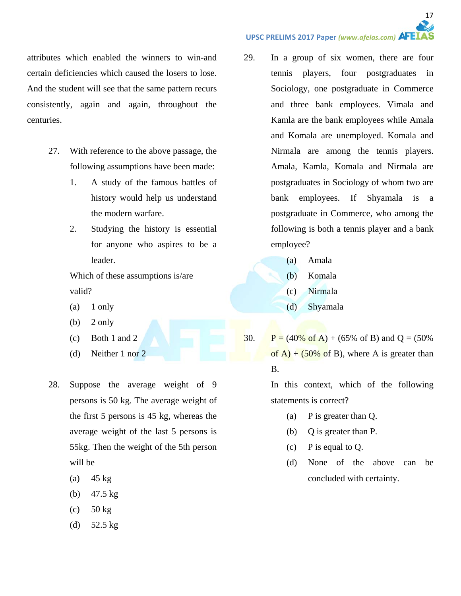17

attributes which enabled the winners to win-and certain deficiencies which caused the losers to lose. And the student will see that the same pattern recurs consistently, again and again, throughout the centuries.

- 27. With reference to the above passage, the following assumptions have been made:
	- 1. A study of the famous battles of history would help us understand the modern warfare.
	- 2. Studying the history is essential for anyone who aspires to be a leader.

Which of these assumptions is/are valid?

- $(a)$  1 only
- (b)  $2 \text{ only}$
- (c) Both 1 and 2
- (d) Neither 1 nor 2
- 28. Suppose the average weight of 9 persons is 50 kg. The average weight of the first 5 persons is 45 kg, whereas the average weight of the last 5 persons is 55kg. Then the weight of the 5th person will be
	- (a) 45 kg
	- (b) 47.5 kg
	- $\sec 50 \text{ kg}$
	- (d) 52.5 kg
- 29. In a group of six women, there are four tennis players, four postgraduates in Sociology, one postgraduate in Commerce and three bank employees. Vimala and Kamla are the bank employees while Amala and Komala are unemployed. Komala and Nirmala are among the tennis players. Amala, Kamla, Komala and Nirmala are postgraduates in Sociology of whom two are bank employees. If Shyamala is a postgraduate in Commerce, who among the following is both a tennis player and a bank employee?
	- (a) Amala
	- (b) Komala
	- (c) Nirmala
	- (d) Shyamala

30. **P** = (40% of A) + (65% of B) and Q = (50% of A)  $+$  (50% of B), where A is greater than B.

> In this context, which of the following statements is correct?

- (a) P is greater than Q.
- (b) Q is greater than P.
- (c) P is equal to Q.
- (d) None of the above can be concluded with certainty.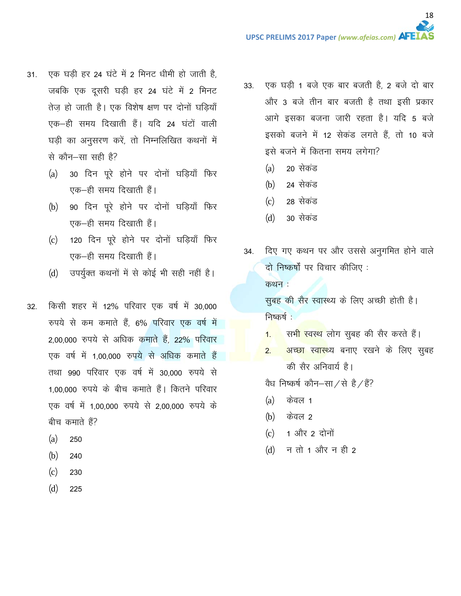18

- 31. एक घडी हर 24 घंटे में 2 मिनट धीमी हो जाती है, जबकि एक दूसरी घड़ी हर 24 घंटे में 2 मिनट तेज हो जाती है। एक विशेष क्षण पर दोनों घड़ियाँ एक-ही समय दिखाती हैं। यदि 24 घंटों वाली घड़ी का अनुसरण करें, तो निम्नलिखित कथनों में से कौन–सा सही है?
	- (a) 30 दिन पूरे होने पर दोनों घड़ियाँ फिर एक-ही समय दिखाती हैं।
	- (b) 90 दिन पूरे होने पर दोनों घड़ियाँ फिर  $\nabla \Phi - \hat{\mathbf{s}}$ िसमय दिखाती हैं।
	- (c) 120 दिन पूरे होने पर दोनों घड़ियाँ फिर एक—ही समय दिखाती हैं।
	- (d) उपर्युक्त कथनों में से कोई भी सही नहीं है।
- 32. किसी शहर में 12% परिवार एक वर्ष में 30,000 रुपये से कम कमाते हैं, 6% परिवार एक वर्ष में 2,00,000 रुपये से अधिक कमाते हैं, 22% परिवार एक वर्ष में 1,00,000 रुपये से अधिक कमाते हैं तथा 990 परिवार एक वर्ष में 30,000 रुपये से  $1.00.000$  रुपये के बीच कमाते हैं। कितने परिवार एक वर्ष में 1,00,000 रुपये से 2,00,000 रुपये के बीच कमाते हैं?
	- $(a)$  250
	- $(b)$  240
	- $(c)$  230
	- $(d)$  225
- 33. एक घडी 1 बजे एक बार बजती है, 2 बजे दो बार ओर 3 बजे तीन बार बजती है तथा इसी प्रकार आगे इसका बजना जारी रहता है। यदि 5 बजे इसको बजने में 12 सेकंड लगते हैं, तो 10 बजे इसे बजने में कितना समय लगेगा?
	- (a) 20 सेकंड
	- (b) 24 सेकंड
	- (c) 28 सेकंड
	- (d) 30 सेकंड
- 34. दिए गए कथन पर और उससे अनुगमित होने वाले  $\overline{a}$ ो निष्कर्षों पर विचार कीजिए:
	- कथन $:$

सूबह की सैर स्वास्थ्य के लिए अच्छी होती है। निष्कर्ष $:$ 

- 1. सभ<mark>ी स्वस्थ</mark> लोग सुबह की सैर करते हैं।
- 2. अच्छा स्वास्थ्य बनाए रखने के लिए सुबह की सैर अनिवार्य है।

वैध निष्कर्ष कौन–सा $\overline{X}$ से है $\overline{X}$ ?

- $(a)$  केवल 1
- $(b)$  केवल 2
- $(c)$  1 और 2 दोनों
- $(d)$  न तो 1 और न ही 2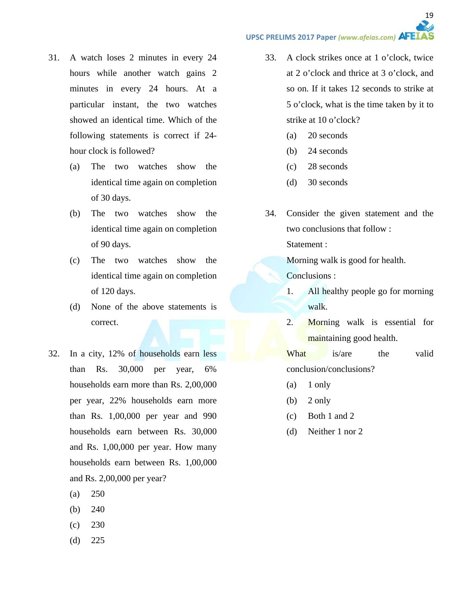- 31. A watch loses 2 minutes in every 24 hours while another watch gains 2 minutes in every 24 hours. At a particular instant, the two watches showed an identical time. Which of the following statements is correct if 24 hour clock is followed?
	- (a) The two watches show the identical time again on completion of 30 days.
	- (b) The two watches show the identical time again on completion of 90 days.
	- (c) The two watches show the identical time again on completion of 120 days.
	- (d) None of the above statements is correct.
- 32. In a city, 12% of households earn less than Rs. 30,000 per year, 6% households earn more than Rs. 2,00,000 per year, 22% households earn more than Rs. 1,00,000 per year and 990 households earn between Rs. 30,000 and Rs. 1,00,000 per year. How many households earn between Rs. 1,00,000 and Rs. 2,00,000 per year?
	- (a) 250
	- (b) 240
	- (c) 230
	- (d) 225

33. A clock strikes once at 1 o'clock, twice at 2 o'clock and thrice at 3 o'clock, and so on. If it takes 12 seconds to strike at 5 o'clock, what is the time taken by it to strike at 10 o'clock?

19

- (a) 20 seconds
- (b) 24 seconds
- (c) 28 seconds
- (d) 30 seconds
- 34. Consider the given statement and the two conclusions that follow : Statement :

Morning walk is good for health.

Conclusions :

- 1. All healthy people go for morning walk.
- 2. Morning walk is essential for maintaining good health.

What is/are the valid conclusion/conclusions?

- (a) 1 only
- (b)  $2 \text{ only}$
- (c) Both 1 and 2
- (d) Neither 1 nor 2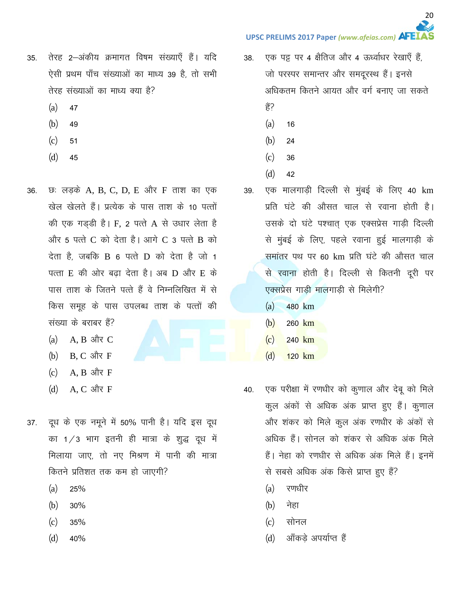20

- तेरह 2-अंकीय क्रमागत विषम संख्याएँ हैं। यदि 35. ऐसी प्रथम पाँच संख्याओं का माध्य 39 है, तो सभी तेरह संख्याओं का माध्य क्या है?
	- $(a)$ 47
	- $(b)$ 49
	- $(c)$ 51
	- $(d)$ 45
- छः लड़के A, B, C, D, E और F ताश का एक 36. खेल खेलते हैं। प्रत्येक के पास ताश के 10 पत्तों की एक गड़डी है। F, 2 पत्ते A से उधार लेता है और 5 पत्ते C को देता है। आगे C 3 पत्ते B को देता है. जबकि B 6 पत्ते D को देता है जो 1 पत्ता E की ओर बढ़ा देता है। अब D और E के पास ताश के जितने पत्ते हैं वे निम्नलिखित में से किस समूह के पास उपलब्ध ताश के पत्तों की
	- संख्या के बराबर हैं?
	- $(a)$  $A$ ,  $B$  और  $C$
	- B, C और F  $(b)$
	- $A, B$  और F  $(c)$
	- A, C और F  $(d)$
- दूध के एक नमूने में 50% पानी है। यदि इस दूध 37. का 1/3 भाग इतनी ही मात्रा के शुद्ध दूध में मिलाया जाए, तो नए मिश्रण में पानी की मात्रा कितने प्रतिशत तक कम हो जाएगी?
	- $(a)$ 25%
	- $(b)$ 30%
	- $(c)$ 35%
	- $(d)$ 40%

एक पट्टू पर 4 क्षैतिज और 4 ऊर्ध्वाधर रेखाएँ हैं, 38. जो परस्पर समान्तर और समदूरस्थ हैं। इनसे अधिकतम कितने आयत और वर्ग बनाए जा सकते 学

- $(a)$ 16
- $(b)$ 24
- $(c)$ 36
- $(d)$ 42
- एक मालगाड़ी दिल्ली से मुंबई के लिए 40 km 39. प्रति घंटे की औसत चाल से रवाना होती है। उसके दो घंटे पश्चात एक एक्सप्रेस गाड़ी दिल्ली से मुंबई के लिए, पहले रवाना हुई मालगाड़ी के समांतर पथ पर 60 km प्रति घंटे की औसत चाल से रवाना होती है। दिल्ली से कितनी दूरी पर एक्सप्रेस गाडी मालगाडी से मिलेगी?
	- $(a)$ 480 km
	- 260 km  $(b)$
	- 240 km  $(c)$
	- $(d)$ 120 km
- एक परीक्षा में रणधीर को कुणाल और देबू को मिले 40. कूल अंकों से अधिक अंक प्राप्त हुए हैं। कृणाल और शंकर को मिले कुल अंक रणधीर के अंकों से अधिक हैं। सोनल को शंकर से अधिक अंक मिले हैं। नेहा को रणधीर से अधिक अंक मिले हैं। इनमें से सबसे अधिक अंक किसे प्राप्त हुए हैं?
	- $(a)$ रणधीर
	- नेहा  $(b)$
	- सोनल  $(c)$
	- आँकड़े अपर्याप्त हैं  $(d)$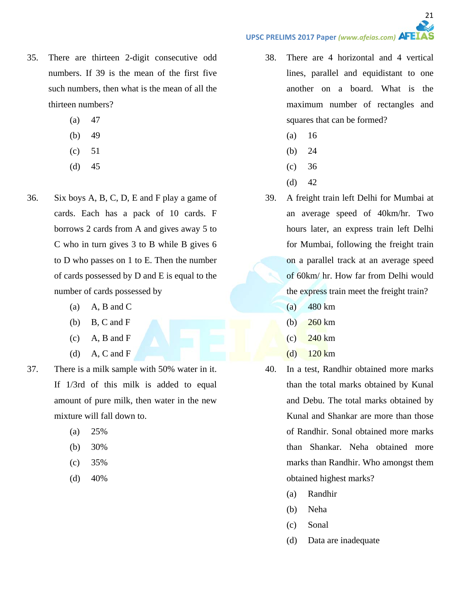- 35. There are thirteen 2-digit consecutive odd numbers. If 39 is the mean of the first five such numbers, then what is the mean of all the thirteen numbers?
	- $(a)$  47
	- (b) 49
	- (c) 51
	- (d) 45
- 36. Six boys A, B, C, D, E and F play a game of cards. Each has a pack of 10 cards. F borrows 2 cards from A and gives away 5 to C who in turn gives 3 to B while B gives 6 to D who passes on 1 to E. Then the number of cards possessed by D and E is equal to the number of cards possessed by
	- $(a)$  A, B and C
	- (b)  $B, C \text{ and } F$
	- $(c)$  A, B and F
	- $(d)$  A, C and F
- 37. There is a milk sample with 50% water in it. If 1/3rd of this milk is added to equal amount of pure milk, then water in the new mixture will fall down to.
	- (a) 25%
	- (b) 30%
	- (c) 35%
	- $(d)$  40%

38. There are 4 horizontal and 4 vertical lines, parallel and equidistant to one another on a board. What is the maximum number of rectangles and squares that can be formed?

21

- (a) 16
- (b) 24
- (c) 36
- $(d)$  42
- 39. A freight train left Delhi for Mumbai at an average speed of 40km/hr. Two hours later, an express train left Delhi for Mumbai, following the freight train on a parallel track at an average speed of 60km/ hr. How far from Delhi would the express train meet the freight train?
	- (a) 480 km
	- (b)  $260 \text{ km}$
	- $(c)$  240 km
	- (d) 120 km
- 40. In a test, Randhir obtained more marks than the total marks obtained by Kunal and Debu. The total marks obtained by Kunal and Shankar are more than those of Randhir. Sonal obtained more marks than Shankar. Neha obtained more marks than Randhir. Who amongst them obtained highest marks?
	- (a) Randhir
	- (b) Neha
	- (c) Sonal
	- (d) Data are inadequate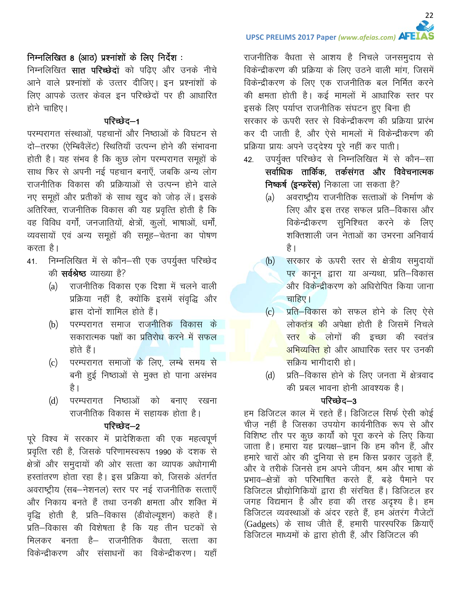22

# निम्नलिखित 8 (आठ) प्रश्नांशों के लिए निर्देश :

निम्नलिखित **सात परिच्छेदों** को पढिए और उनके नीचे आने वाले प्रश्नांशों के उत्तर दीजिए। इन प्रश्नांशों के लिए आपके उत्तर केवल इन परिच्छेदों पर ही आधारित होने चाहिए।

# परिच्छेद–1

परम्परागत संस्थाओं, पहचानों और निष्ठाओं के विघटन से दो-तरफा (ऐम्बिवैलेंट) स्थितियाँ उत्पन्न होने की संभावना होती है। यह संभव है कि कुछ लोग परम्परागत समूहों के साथ फिर से अपनी नई पहचान बनाएँ, जबकि अन्य लोग राजनीतिक विकास की प्रक्रियाओं से उत्पन्न होने वाले नए समूहों और प्रतीकों के साथ खुद को जोड़ लें। इसके अतिरिक्त, राजनीतिक विकास की यह प्रवृत्ति होती है कि वह विविध वर्गों, जनजातियों, क्षेत्रों, कूलों, भाषाओं, धर्मों, व्यवसायों एवं अन्य समूहों की समूह-चेतना का पोषण करता है।

- निम्नलिखित में से कौन–सी एक उपर्युक्त परिच्छेद 41. की सर्वश्रेष्ठ व्याख्या है?
	- राजनीतिक विकास एक दिशा में चलने वाली  $(a)$ प्रक्रिया नहीं है, क्योंकि इसमें संवृद्धि और ह्रास दोनों शामिल होते हैं।
	- परम्परागत समाज राजनीतिक विकास के  $(b)$ सकारात्मक पक्षों का प्रतिरोध करने में सफल होते हैं।
	- परम्परागत समाजों के लिए, लम्बे समय से  $(c)$ बनी हुई निष्ठाओं से मुक्त हो पाना असंभव है ।
	- $(d)$ परम्परागत निष्ठाओं को बनाए रखना राजनीतिक विकास में सहायक होता है।

# परिच्छेद–2

पूरे विश्व में सरकार में प्रादेशिकता की एक महत्वपूर्ण प्रवृत्ति रही है, जिसके परिणामस्वरूप 1990 के दशक से क्षेत्रों और समुदायों की ओर सत्ता का व्यापक अधोगामी हस्तांतरण होता रहा है। इस प्रक्रिया को, जिसके अंतर्गत अवराष्ट्रीय (सब–नेशनल) स्तर पर नई राजनीतिक सत्ताएँ और निकाय बनते हैं तथा उनकी क्षमता और शक्ति में वृद्धि होती है, प्रति–विकास (डीवोल्यूशन) कहते हैं। प्रति–विकास की विशेषता है कि यह तीन घटकों से मिलकर बनता है— राजनीतिक वैधता सत्ता का विकेन्द्रीकरण और संसाधनों का विकेन्द्रीकरण। यहाँ राजनीतिक वैधता से आशय है निचले जनसमुदाय से विकेन्द्रीकरण की प्रक्रिया के लिए उठने वाली मांग, जिसमें विकेन्द्रीकरण के लिए एक राजनीतिक बल निर्मित करने की क्षमता होती है। कई मामलों में आधारिक स्तर पर इसके लिए पर्याप्त राजनीतिक संघटन हुए बिना ही

सरकार के ऊपरी स्तर से विकेन्द्रीकरण की प्रक्रिया प्रारंभ कर दी जाती है. और ऐसे मामलों में विकेन्द्रीकरण की प्रक्रिया प्रायः अपने उद्देश्य पूरे नहीं कर पाती।

- उपर्युक्त परिच्छेद से निम्नलिखित में से कौन-सा 42. सर्वाधिक तार्किक, तर्कसंगत और विवेचनात्मक निष्कर्ष (इन्फरेंस) निकाला जा सकता है?
	- अवराष्ट्रीय राजनीतिक सत्ताओं के निर्माण के  $(a)$ लिए और इस तरह सफल प्रति-विकास और विकेन्द्रीकरण सुनिश्चित करने के लिए शक्तिशाली जन नेताओं का उभरना अनिवार्य है ।
	- सरकार के ऊपरी स्तर से क्षेत्रीय समुदायों  $(b)$ पर कानून द्वारा या अन्यथा, प्रति–विकास और विकेन्द्रीकरण को अधिरोपित किया जाना चाहिए।
	- प्रति–विकास को सफल होने के लिए ऐसे  $(c)$ लो<mark>कतंत्र की</mark> अपेक्षा होती है जिसमें निचले स्त<mark>र के</mark> लोगों की इच्छा की स्वतंत्र <mark>अभिव्यक्ति हो</mark> और आधारिक स्तर पर उनकी <mark>सक्रिय भागीदारी हो।</mark>
	- प्रति–विकास होने के लिए जनता में क्षेत्रवाद  $(d)$ की प्रबल भावना होनी आवश्यक है।

# परिच्छेद—3

हम डिजिटल काल में रहते हैं। डिजिटल सिर्फ ऐसी कोई चीज़ नहीं है जिसका उपयोग कार्यनीतिक रूप से और विशिष्ट तौर पर कूछ कार्यों को पूरा करने के लिए किया जाता है। हमारा यह प्रत्यक्ष–ज्ञान कि हम कौन हैं, और हमारे चारों ओर की दुनिया से हम किस प्रकार जुड़ते हैं, और वे तरीके जिनसे हम अपने जीवन, श्रम और भाषा के प्रभाव-क्षेत्रों को परिभाषित करते हैं, बड़े पैमाने पर डिजिटल प्रौद्योगिकियों द्वारा ही संरचित हैं। डिजिटल हर जगह विद्यमान है और हवा की तरह अदृश्य है। हम डिजिटल व्यवस्थाओं के अंदर रहते हैं, हम अंतरंग गैजेटों (Gadgets) के साथ जीते हैं, हमारी पारस्परिक क्रियाएँ डिजिटल माध्यमों के द्वारा होती हैं. और डिजिटल की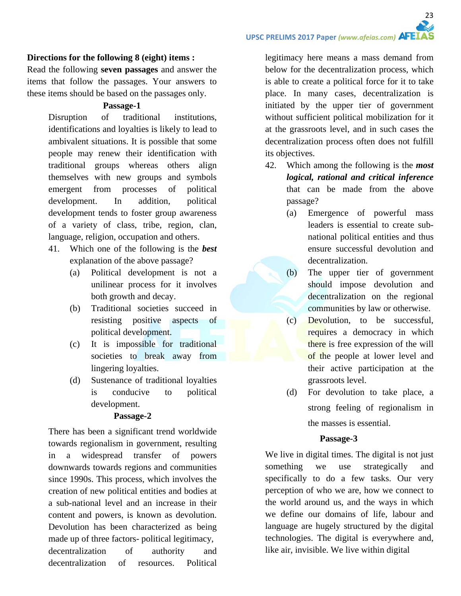#### **Directions for the following 8 (eight) items :**

Read the following **seven passages** and answer the items that follow the passages. Your answers to these items should be based on the passages only.

#### **Passage-1**

 Disruption of traditional institutions, identifications and loyalties is likely to lead to ambivalent situations. It is possible that some people may renew their identification with traditional groups whereas others align themselves with new groups and symbols emergent from processes of political development. In addition, political development tends to foster group awareness of a variety of class, tribe, region, clan, language, religion, occupation and others.

- 41. Which one of the following is the *best* explanation of the above passage?
	- (a) Political development is not a unilinear process for it involves both growth and decay.
	- (b) Traditional societies succeed in resisting positive aspects of political development.
	- (c) It is impossible for traditional societies to break away from lingering loyalties.
	- (d) Sustenance of traditional loyalties is conducive to political development.

#### **Passage-2**

 There has been a significant trend worldwide towards regionalism in government, resulting in a widespread transfer of powers downwards towards regions and communities since 1990s. This process, which involves the creation of new political entities and bodies at a sub-national level and an increase in their content and powers, is known as devolution. Devolution has been characterized as being made up of three factors- political legitimacy, decentralization of authority and decentralization of resources. Political

legitimacy here means a mass demand from below for the decentralization process, which is able to create a political force for it to take place. In many cases, decentralization is initiated by the upper tier of government without sufficient political mobilization for it at the grassroots level, and in such cases the decentralization process often does not fulfill its objectives.

23

- 42. Which among the following is the *most logical, rational and critical inference* that can be made from the above passage?
	- (a) Emergence of powerful mass leaders is essential to create subnational political entities and thus ensure successful devolution and decentralization.
	- (b) The upper tier of government should impose devolution and decentralization on the regional communities by law or otherwise.
	- (c) Devolution, to be successful, requires a democracy in which there is free expression of the will of the people at lower level and their active participation at the grassroots level.
	- (d) For devolution to take place, a strong feeling of regionalism in the masses is essential.

#### **Passage-3**

 We live in digital times. The digital is not just something we use strategically and specifically to do a few tasks. Our very perception of who we are, how we connect to the world around us, and the ways in which we define our domains of life, labour and language are hugely structured by the digital technologies. The digital is everywhere and, like air, invisible. We live within digital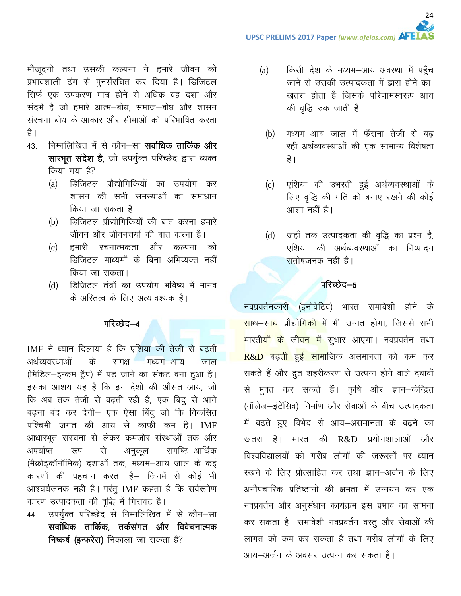24

मौजूदगी तथा उसकी कल्पना ने हमारे जीवन को प्रभावशाली ढंग से पुनर्संरचित कर दिया है। डिजिटल सिर्फ एक उपकरण मात्र होने से अधिक वह दशा और संदर्भ है जो हमारे आत्म-बोध, समाज-बोध और शासन संरचना बोध के आकार और सीमाओं को परिभाषित करता है ।

- निम्नलिखित में से कौन–सा **सर्वाधिक तार्किक और**  $43<sub>1</sub>$ सारभूत संदेश है, जो उपर्युक्त परिच्छेद द्वारा व्यक्त किया गया है?
	- डिजिटल प्रौद्योगिकियों का उपयोग कर  $(a)$ शासन की सभी समस्याओं का समाधान किया जा सकता है।
	- डिजिटल प्रौद्योगिकियों की बात करना हमारे  $(b)$ जीवन और जीवनचर्या की बात करना है।
	- हमारी रचनात्मकता और कल्पना को  $(c)$ डिजिटल माध्यमों के बिना अभिव्यक्त नहीं किया जा सकता।
	- डिजिटल तंत्रों का उपयोग भविष्य में मानव  $(d)$ के अस्तित्व के लिए अत्यावश्यक है।

# परिच्छेद–4

IMF ने ध्यान दिलाया है कि एशिया की तेजी से बढ़ती अर्थव्यवस्थाओं के समक्ष मध्यम-आय जाल (मिडिल–इन्कम ट्रैप) में पड जाने का संकट बना हुआ है। इसका आशय यह है कि इन देशों की औसत आय, जो कि अब तक तेजी से बढ़ती रही है, एक बिंदू से आगे बढ़ना बंद कर देगी– एक ऐसा बिंदु जो कि विकसित पश्चिमी जगत की आय से काफी कम है। IMF आधारभूत संरचना से लेकर कमज़ोर संस्थाओं तक और अपर्याप्त समष्टि–आर्थिक रूप से अनुकूल (मैक्रोइकॉनॉमिक) दशाओं तक, मध्यम–आय जाल के कई कारणों की पहचान करता है– जिनमें से कोई भी आश्चर्यजनक नहीं है। परंतु IMF कहता है कि सर्वरूपेण कारण उत्पादकता की वृद्धि में गिरावट है।

उपर्युक्त परिच्छेद से निम्नलिखित में से कौन-सा  $44$ सर्वाधिक तार्किक, तर्कसंगत और विवेचनात्मक निष्कर्ष (इन्फरेंस) निकाला जा सकता है?

- किसी देश के मध्यम-आय अवस्था में पहुँच  $(a)$ जाने से उसकी उत्पादकता में ह्रास होने का खतरा होता है जिसके परिणामस्वरूप आय की वृद्धि रुक जाती है।
	- मध्यम–आय जाल में फँसना तेजी से बढ  $(b)$ रही अर्थव्यवस्थाओं की एक सामान्य विशेषता है ।
	- एशिया की उभरती हुई अर्थव्यवस्थाओं के  $(c)$ लिए वृद्धि की गति को बनाए रखने की कोई आशा नहीं है।
	- जहाँ तक उत्पादकता की वृद्धि का प्रश्न है,  $(d)$ एशिया की अर्थव्यवस्थाओं का निष्पादन संतोषजनक नहीं है।

# परिच्छेद–5

नवप्रवर्तनकारी (इनोवेटिव) भारत समावेशी होने के <mark>सा</mark>थ—साथ प्रौद्यो<mark>गिकी में</mark> भी उन्नत होगा, जिससे सभी <mark>भारतीयों के</mark> जीवन में सूधार आएगा। नवप्रवर्तन तथा R&D बढ़त<mark>ी हुई सामा</mark>जिक असमानता को कम कर सकते हैं और द्रुत शहरीकरण से उत्पन्न होने वाले दबावों से मुक्त कर सकते हैं। कृषि और ज्ञान–केन्द्रित (नॉलेज-इंटेंसिव) निर्माण और सेवाओं के बीच उत्पादकता में बढते हुए विभेद से आय-असमानता के बढने का खतरा है। भारत की R&D प्रयोगशालाओं और विश्वविद्यालयों को गरीब लोगों की जरूरतों पर ध्यान रखने के लिए प्रोत्साहित कर तथा ज्ञान–अर्जन के लिए अनौपचारिक प्रतिष्ठानों की क्षमता में उन्नयन कर एक नवप्रवर्तन और अनुसंधान कार्यक्रम इस प्रभाव का सामना कर सकता है। समावेशी नवप्रवर्तन वस्तू और सेवाओं की लागत को कम कर सकता है तथा गरीब लोगों के लिए आय–अर्जन के अवसर उत्पन्न कर सकता है।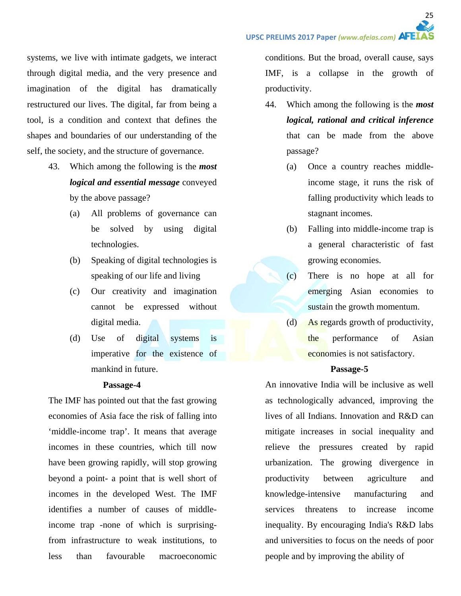systems, we live with intimate gadgets, we interact through digital media, and the very presence and imagination of the digital has dramatically restructured our lives. The digital, far from being a tool, is a condition and context that defines the shapes and boundaries of our understanding of the self, the society, and the structure of governance.

- 43. Which among the following is the *most logical and essential message* conveyed by the above passage?
	- (a) All problems of governance can be solved by using digital technologies.
	- (b) Speaking of digital technologies is speaking of our life and living
	- (c) Our creativity and imagination cannot be expressed without digital media.
	- (d) Use of digital systems is imperative for the existence of mankind in future.

#### **Passage-4**

 The IMF has pointed out that the fast growing economies of Asia face the risk of falling into 'middle-income trap'. It means that average incomes in these countries, which till now have been growing rapidly, will stop growing beyond a point- a point that is well short of incomes in the developed West. The IMF identifies a number of causes of middleincome trap -none of which is surprisingfrom infrastructure to weak institutions, to less than favourable macroeconomic

conditions. But the broad, overall cause, says IMF, is a collapse in the growth of productivity.

25

- 44. Which among the following is the *most logical, rational and critical inference* that can be made from the above passage?
	- (a) Once a country reaches middleincome stage, it runs the risk of falling productivity which leads to stagnant incomes.
	- (b) Falling into middle-income trap is a general characteristic of fast growing economies.
	- (c) There is no hope at all for emerging Asian economies to sustain the growth momentum.
	- (d) As regards growth of productivity, the performance of Asian economies is not satisfactory.

#### **Passage-5**

 An innovative India will be inclusive as well as technologically advanced, improving the lives of all Indians. Innovation and R&D can mitigate increases in social inequality and relieve the pressures created by rapid urbanization. The growing divergence in productivity between agriculture and knowledge-intensive manufacturing and services threatens to increase income inequality. By encouraging India's R&D labs and universities to focus on the needs of poor people and by improving the ability of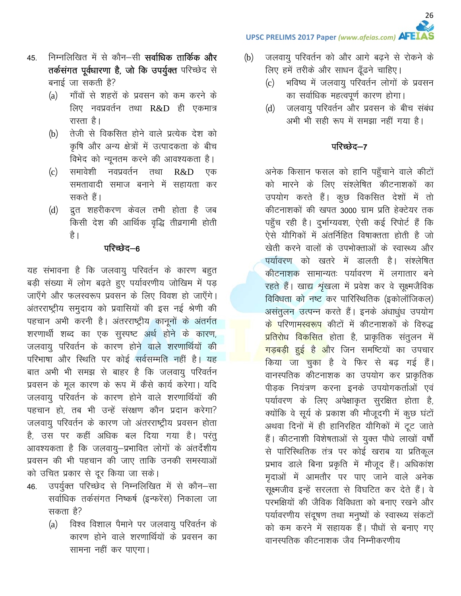- निम्नलिखित में से कौन–सी **सर्वाधिक तार्किक और** 45. तर्कसंगत पूर्वधारणा है, जो कि उपर्युक्त परिच्छेद से बनाई जा सकती है?
	- गाँवों से शहरों के प्रवसन को कम करने के  $(a)$ लिए नवप्रवर्तन तथा R&D ही एकमात्र रास्ता है।
	- तेजी से विकसित होने वाले प्रत्येक देश को  $(b)$ कृषि और अन्य क्षेत्रों में उत्पादकता के बीच विभेद को न्यूनतम करने की आवश्यकता है।
	- समावेशी नवप्रवर्तन तथा  $R&D$ एक  $(c)$ समतावादी समाज बनाने में सहायता कर सकते हैं।
	- द्रुत शहरीकरण केवल तभी होता है जब  $(d)$ किसी देश की आर्थिक वृद्धि तीव्रगामी होती है ।

# परिच्छेद–6

यह संभावना है कि जलवायू परिवर्तन के कारण बहुत बड़ी संख्या में लोग बढ़ते हुए पर्यावरणीय जोखिम में पड जाएँगे और फलस्वरूप प्रवसन के लिए विवश हो जाएँगे। अंतरराष्ट्रीय समुदाय को प्रवासियों की इस नई श्रेणी की पहचान अभी करनी है। अंतरराष्ट्रीय कानूनों के अंतर्गत शरणार्थी शब्द का एक सुस्पष्ट अर्थ होने के कारण, जलवायू परिवर्तन के कारण होने वाले शरणार्थियों की परिभाषा और स्थिति पर कोई सर्वसम्मति नहीं है। यह बात अभी भी समझ से बाहर है कि जलवायु परिवर्तन प्रवसन के मूल कारण के रूप में कैसे कार्य करेगा। यदि जलवायू परिवर्तन के कारण होने वाले शरणार्थियों की पहचान हो, तब भी उन्हें संरक्षण कौन प्रदान करेगा? जलवायू परिवर्तन के कारण जो अंतरराष्ट्रीय प्रवसन होता है, उस पर कहीं अधिक बल दिया गया है। परंतू आवश्यकता है कि जलवायू-प्रभावित लोगों के अंतर्देशीय प्रवसन की भी पहचान की जाए ताकि उनकी समस्याओं को उचित प्रकार से दूर किया जा सके।

- उपर्युक्त परिच्छेद से निम्नलिखित में से कौन-सा 46. सर्वाधिक तर्कसंगत निष्कर्ष (इन्फरेंस) निकाला जा सकता है?
	- विश्व विशाल पैमाने पर जलवायु परिवर्तन के  $(a)$ कारण होने वाले शरणार्थियों के प्रवसन का सामना नहीं कर पाएगा।
- जलवायु परिवर्तन को और आगे बढ़ने से रोकने के  $(b)$ लिए हमें तरीके और साधन ढूँढने चाहिए।
	- भविष्य में जलवायू परिवर्तन लोगों के प्रवसन  $(c)$ का सर्वाधिक महत्वपूर्ण कारण होगा।

26

जलवायू परिवर्तन और प्रवसन के बीच संबंध  $(d)$ अभी भी सही रूप में समझा नहीं गया है।

# परिच्छेद–7

अनेक किसान फसल को हानि पहुँचाने वाले कीटों को मारने के लिए संश्लेषित कीटनाशकों का उपयोग करते हैं। कूछ विकसित देशों में तो कीटनाशकों की खपत 3000 ग्राम प्रति हेक्टेयर तक पहुँच रही है। दुर्भाग्यवश, ऐसी कई रिपोर्ट हैं कि ऐसे यौगिकों में अंतर्निहित विषाक्तता होती है जो खेती करने वालों के उपभोक्ताओं के स्वास्थ्य और पर्यावरण को खतरे में डालती है। संश्लेषित कीटनाशक सामान्यतः पर्यावरण में लगातार बने रहते हैं। खाद्य शृंखला में प्रवेश कर वे सुक्ष्मजैविक विविधता को नष्ट कर पारिस्थितिक (इकोलॉजिकल) असंतुलन उत्पन्न करते हैं। इनके अंधाधुंध उपयोग <mark>के परिणामस्वरूप</mark> कीटों में कीटनाशकों के विरुद्ध <mark>प्रतिरो</mark>ध विकसित होता है, प्राकृतिक संतुलन में <mark>गड़बड़ी हुई है औ</mark>र जिन समष्टियों का उपचार किया जा चुका है वे फिर से बढ़ गई हैं। वानस्पतिक कीटनाशक का उपयोग कर प्राकृतिक पीड़क नियंत्रण करना इनके उपयोगकर्ताओं एवं पर्यावरण के लिए अपेक्षाकृत सुरक्षित होता है, क्योंकि वे सूर्य के प्रकाश की मौजूदगी में कुछ घंटों अथवा दिनों में ही हानिरहित यौगिकों में टूट जाते हैं। कीटनाशी विशेषताओं से युक्त पौधे लाखों वर्षों से पारिस्थितिक तंत्र पर कोई खराब या प्रतिकूल प्रभाव डाले बिना प्रकृति में मौजूद हैं। अधिकांश मृदाओं में आमतौर पर पाए जाने वाले अनेक सूक्ष्मजीव इन्हें सरलता से विघटित कर देते हैं। वे परभक्षियों की जैविक विविधता को बनाए रखने और पर्यावरणीय संदुषण तथा मनुष्यों के स्वास्थ्य संकटों को कम करने में सहायक हैं। पौधों से बनाए गए वानस्पतिक कीटनाशक जैव निम्नीकरणीय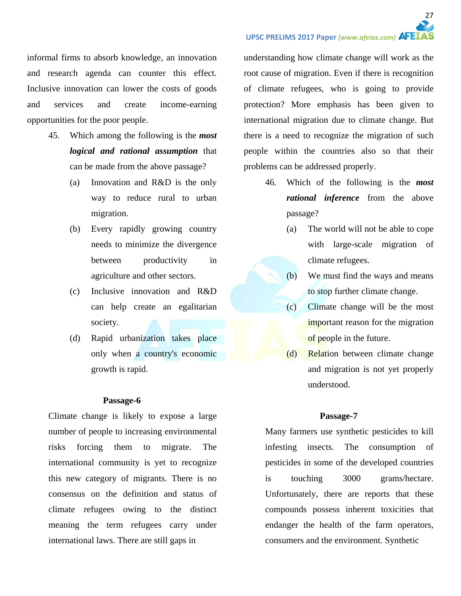27

informal firms to absorb knowledge, an innovation and research agenda can counter this effect. Inclusive innovation can lower the costs of goods and services and create income-earning opportunities for the poor people.

- 45. Which among the following is the *most logical and rational assumption* that can be made from the above passage?
	- (a) Innovation and R&D is the only way to reduce rural to urban migration.
	- (b) Every rapidly growing country needs to minimize the divergence between productivity in agriculture and other sectors.
	- (c) Inclusive innovation and R&D can help create an egalitarian society.
	- (d) Rapid urbanization takes place only when a country's economic growth is rapid.

#### **Passage-6**

 Climate change is likely to expose a large number of people to increasing environmental risks forcing them to migrate. The international community is yet to recognize this new category of migrants. There is no consensus on the definition and status of climate refugees owing to the distinct meaning the term refugees carry under international laws. There are still gaps in

understanding how climate change will work as the root cause of migration. Even if there is recognition of climate refugees, who is going to provide protection? More emphasis has been given to international migration due to climate change. But there is a need to recognize the migration of such people within the countries also so that their problems can be addressed properly.

- 46. Which of the following is the *most rational inference* from the above passage?
	- (a) The world will not be able to cope with large-scale migration of climate refugees.
	- (b) We must find the ways and means to stop further climate change.
	- (c) Climate change will be the most important reason for the migration of people in the future.
	- (d) Relation between climate change and migration is not yet properly understood.

## **Passage-7**

 Many farmers use synthetic pesticides to kill infesting insects. The consumption of pesticides in some of the developed countries is touching 3000 grams/hectare. Unfortunately, there are reports that these compounds possess inherent toxicities that endanger the health of the farm operators, consumers and the environment. Synthetic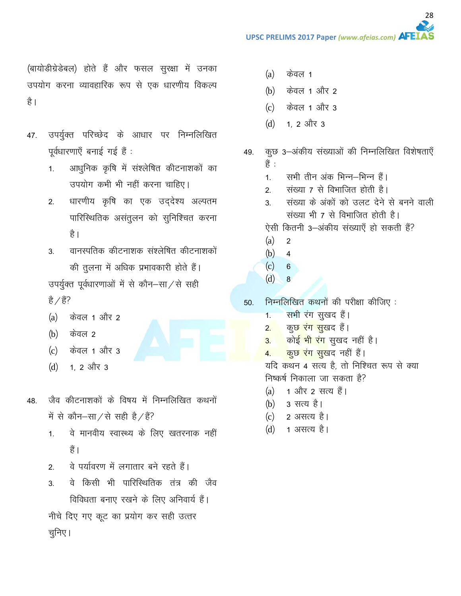(बायोडीग्रेडेबल) होते हैं और फसल सुरक्षा में उनका उपयोग करना व्यावहारिक रूप से एक धारणीय विकल्प है ।

- उपर्युक्त परिच्छेद के आधार पर निम्नलिखित 47. पूर्वधारणाएँ बनाई गई हैं :
	- आधुनिक कृषि में संश्लेषित कीटनाशकों का  $1.$ उपयोग कभी भी नहीं करना चाहिए।
	- धारणीय कृषि का एक उद्देश्य अल्पतम  $2.$ पारिस्थितिक असंतुलन को सुनिश्चित करना है ।
	- वानस्पतिक कीटनाशक संश्लेषित कीटनाशकों  $\mathcal{E}$ की तुलना में अधिक प्रभावकारी होते हैं। उपर्युक्त पूर्वधारणाओं में से कौन-सा/से सही
	- है / हैं?
	- (a) केवल 1 और 2
	- (b) केवल 2
	- केवल 1 और 3  $(c)$
	- 1, 2 और 3  $(d)$
- जैव कीटनाशकों के विषय में निम्नलिखित कथनों 48. में से कौन-सा/से सही है/हैं?
	- वे मानवीय स्वास्थ्य के लिए खतरनाक नहीं  $\mathbf{1}$ हैं ।
	- वे पर्यावरण में लगातार बने रहते हैं।  $2.$
	- वे किसी भी पारिस्थितिक तंत्र की जैव  $3<sub>1</sub>$ विविधता बनाए रखने के लिए अनिवार्य हैं। नीचे दिए गए कूट का प्रयोग कर सही उत्तर चुनिए ।
- $(a)$ केवल 1
- $(b)$ केवल 1 और 2
- केवल 1 और 3  $(c)$
- $(d)$ 1, 2 और 3
- कुछ 3-अंकीय संख्याओं की निम्नलिखित विशेषताएँ 49. हैं :
	- सभी तीन अंक भिन्न–भिन्न हैं।  $1<sup>1</sup>$
	- संख्या 7 से विभाजित होती है।  $2.$
	- संख्या के अंकों को उलट देने से बनने वाली  $3<sup>1</sup>$ संख्या भी 7 से विभाजित होती है।
	- ऐसी कितनी 3-अंकीय संख्याएँ हो सकती हैं?
	- $(a)$  $\overline{2}$
	- $(b)$  $\overline{4}$
	- $(c)$  $6\phantom{1}$
	- $(d)$ 8
- निम्नलिखित कथनों की परीक्षा कीजिए: 50.
	- सभी रंग सुखद हैं।  $1.$
	- कूछ रंग सुखद हैं।  $2<sup>2</sup>$
	- कोई <mark>भी रंग</mark> सुखद नहीं है।  $\overline{3}$
	- <mark>कूछ रंग सुख</mark>द नहीं हैं।  $\overline{4}$

यदि कथन 4 सत्य है, तो निश्चित रूप से क्या निष्कर्ष निकाला जा सकता है?

- 1 और 2 सत्य हैं।  $(a)$
- $(b)$ 3 सत्य है।
- $(c)$ 2 असत्य है।
- $(d)$ 1 असत्य है।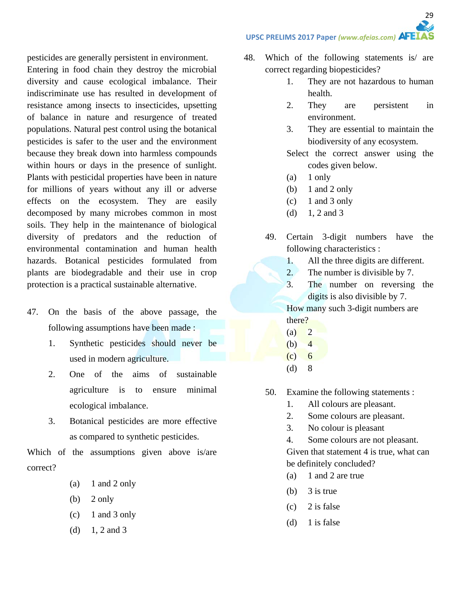pesticides are generally persistent in environment.

Entering in food chain they destroy the microbial diversity and cause ecological imbalance. Their indiscriminate use has resulted in development of resistance among insects to insecticides, upsetting of balance in nature and resurgence of treated populations. Natural pest control using the botanical pesticides is safer to the user and the environment because they break down into harmless compounds within hours or days in the presence of sunlight. Plants with pesticidal properties have been in nature for millions of years without any ill or adverse effects on the ecosystem. They are easily decomposed by many microbes common in most soils. They help in the maintenance of biological diversity of predators and the reduction of environmental contamination and human health hazards. Botanical pesticides formulated from plants are biodegradable and their use in crop protection is a practical sustainable alternative.

- 47. On the basis of the above passage, the following assumptions have been made :
	- 1. Synthetic pesticides should never be used in modern agriculture.
	- 2. One of the aims of sustainable agriculture is to ensure minimal ecological imbalance.
	- 3. Botanical pesticides are more effective as compared to synthetic pesticides.

Which of the assumptions given above is/are correct?

- $(a)$  1 and 2 only
- $(b)$  2 only
- $(c)$  1 and 3 only
- (d)  $1, 2$  and 3
- 48. Which of the following statements is/ are correct regarding biopesticides?
	- 1. They are not hazardous to human health.

29

- 2. They are persistent in environment.
- 3. They are essential to maintain the biodiversity of any ecosystem.
- Select the correct answer using the codes given below.
- (a) 1 only
- (b)  $1$  and  $2$  only
- $(c)$  1 and 3 only
- (d)  $1, 2$  and 3
- 49. Certain 3-digit numbers have the following characteristics :
	- 1. All the three digits are different.
	- 2. The number is divisible by 7.
	- 3. The number on reversing the digits is also divisible by 7.

How many such 3-digit numbers are there?

- $(a) 2$
- $(b)$  4
- $(c) 6$
- (d) 8
- 50. Examine the following statements :
	- 1. All colours are pleasant.
	- 2. Some colours are pleasant.
	- 3. No colour is pleasant

4. Some colours are not pleasant. Given that statement 4 is true, what can be definitely concluded?

- (a) 1 and 2 are true
- (b) 3 is true
- $(c)$  2 is false
- $(d)$  1 is false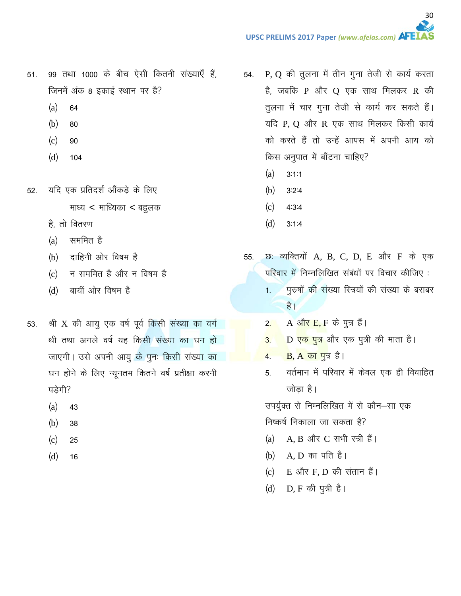30

- 99 तथा 1000 के बीच ऐसी कितनी संख्याएँ हैं,  $51.$ जिनमें अंक 8 इकाई स्थान पर है?
	- $(a)$ 64
	- $(b)$ 80
	- $(c)$ 90
	- $(d)$ 104
- यदि एक प्रतिदर्श आँकड़े के लिए 52. माध्य < माध्यिका < बहुलक
	- है, तो वितरण
	- $(a)$ सममित है
	- दाहिनी ओर विषम है  $(b)$
	- न सममित है और न विषम है  $(c)$
	- बायीं ओर विषम है  $(d)$
- श्री X की आयु एक वर्ष पूर्व किसी संख्या का वर्ग 53. थी तथा अगले वर्ष यह किसी संख्या का घन हो जाएगी। उसे अपनी आयु के पुनः किसी संख्या का घन होने के लिए न्यूनतम कितने वर्ष प्रतीक्षा करनी पडेगी?
	- $(a)$ 43
	- $(b)$ 38
	- $(c)$ 25
	- $(d)$ 16
- P, Q की तुलना में तीन गुना तेजी से कार्य करता 54. है, जबकि P और Q एक साथ मिलकर R की तुलना में चार गुना तेजी से कार्य कर सकते हैं। यदि P, Q और R एक साथ मिलकर किसी कार्य को करते हैं तो उन्हें आपस में अपनी आय को किस अनुपात में बॉंटना चाहिए?
	- $(a)$  $3:1:1$
	- $(b)$  $3:2:4$
	- $(c)$  $4:3:4$
	- $(d)$  $3:1:4$
- छः व्यक्तियों A, B, C, D, E और F के एक 55. परिवार में निम्नलिखित संबंधों पर विचार कीजिए:
	- पुरुषों की संख्या स्त्रियों की संख्या के बराबर  $1<sup>1</sup>$ है।
	- A और E, F के पुत्र हैं।  $2.$
	- D एक पुत्र और एक पुत्री की माता है।  $3.$
	- $\overline{4}$ .  $B, A, \overline{q}$  पत्र है।
	- वर्तमान में परिवार में केवल एक ही विवाहित 5. जोडा है।

उपर्युक्त से निम्नलिखित में से कौन-सा एक

निष्कर्ष निकाला जा सकता है?

- A. B और C सभी स्त्री हैं।  $(a)$
- (b) A, D का पति है।
- $(c)$ E और F, D की संतान हैं।
- D, F की पूत्री है।  $(d)$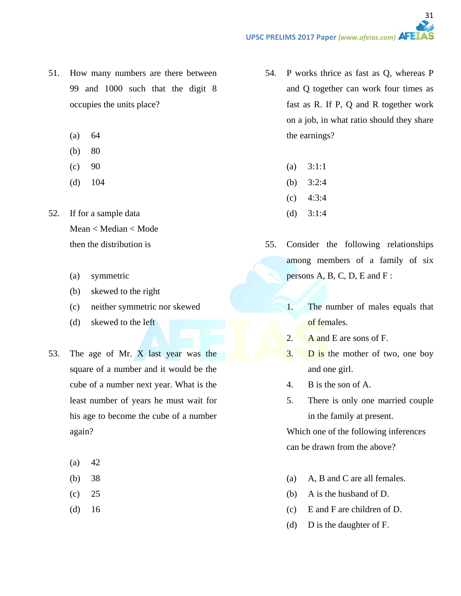31

- 51. How many numbers are there between 99 and 1000 such that the digit 8 occupies the units place?
	- (a) 64
	- (b) 80
	- $(c) 90$
	- (d) 104
- 52. If for a sample data Mean < Median < Mode then the distribution is
	- (a) symmetric
	- (b) skewed to the right
	- (c) neither symmetric nor skewed
	- (d) skewed to the left
- 53. The age of Mr. X last year was the square of a number and it would be the cube of a number next year. What is the least number of years he must wait for his age to become the cube of a number again?
	- $(a) 42$
	- (b) 38
	- (c) 25
	- (d) 16
- 54. P works thrice as fast as Q, whereas P and Q together can work four times as fast as R. If P, Q and R together work on a job, in what ratio should they share the earnings?
	- (a) 3:1:1
	- (b) 3:2:4
	- (c) 4:3:4
	- (d) 3:1:4
- 55. Consider the following relationships among members of a family of six persons A, B, C, D, E and F :
	- 1. The number of males equals that of females.
	- 2. A and E are sons of F.
	- 3. D is the mother of two, one boy and one girl.
	- 4. B is the son of A.
	- 5. There is only one married couple in the family at present.

Which one of the following inferences can be drawn from the above?

- (a) A, B and C are all females.
- (b) A is the husband of D.
- (c) E and F are children of D.
- (d) D is the daughter of F.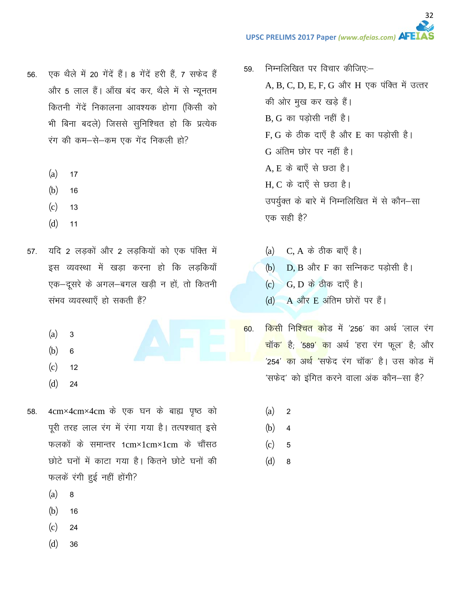32

- एक थैले में 20 गेंदें हैं। 8 गेंदें हरी हैं, 7 सफेद हैं 56. और 5 लाल हैं। आँख बंद कर, थैले में से न्यूनतम कितनी गेंदें निकालना आवश्यक होगा (किसी को भी बिना बदले) जिससे सुनिश्चित हो कि प्रत्येक रंग की कम-से-कम एक गेंद निकली हो?
	- $(a)$  $17$
	- $(b)$ 16
	- $(c)$ 13
	- $(d)$  $11$
- यदि 2 लड़कों और 2 लड़कियों को एक पंक्ति में 57. इस व्यवस्था में खड़ा करना हो कि लड़कियाँ एक-दूसरे के अगल-बगल खड़ी न हों, तो कितनी संभव व्यवस्थाएँ हो सकती हैं?
	- $(a)$ 3
	- $(b)$ 6
	- $(c)$  $12$
	- $(d)$ 24
- 4cm×4cm×4cm के एक घन के बाह्य पृष्ठ को 58. पूरी तरह लाल रंग में रंगा गया है। तत्पश्चात् इसे फलकों के समान्तर 1 $cm \times 1$ cm $\times 1$ cm के चौंसठ छोटे घनों में काटा गया है। कितने छोटे घनों की फलकें रंगी हुई नहीं होंगी?
	- $(a)$  $\bf{8}$
	- $(b)$ 16
	- $(c)$ 24
	- $(d)$ 36
- निम्नलिखित पर विचार कीजिएः-59. A, B, C, D, E, F, G और H एक पंक्ति में उत्तर की ओर मुख कर खड़े हैं। B. G का पड़ोसी नहीं है। F. G के ठीक दाएँ है और E का पड़ोसी है। G अंतिम छोर पर नहीं है। A. F. के बाएँ से छता है। H. C के दाएँ से छठा है। उपर्युक्त के बारे में निम्नलिखित में से कौन-सा एक सही है?
	- C. A के ठीक बाएँ है।  $(a)$
	- $D, B$  और F का सन्निकट पड़ोसी है।  $(b)$
	- $G$ ,  $D$  के ठीक दाएँ है।  $(c)$
	- A और E अंतिम छोरों पर हैं।  $(d)$
- <mark>किसी निश्चित क</mark>ोड़ में '256' का अर्थ 'लाल रंग  $60<sub>o</sub>$ <mark>चॉक'</mark> है; '589' का अर्थ 'हरा रंग फूल' है; और '254' का अर्थ 'सफेद रंग चॉक' है। उस कोड में 'सफेद' को इंगित करने वाला अंक कौन–सा है?
	- $(a)$ 2
	- $(b)$  $\overline{\mathbf{4}}$
	- $(c)$  $5\overline{5}$
	- $(d)$  $8$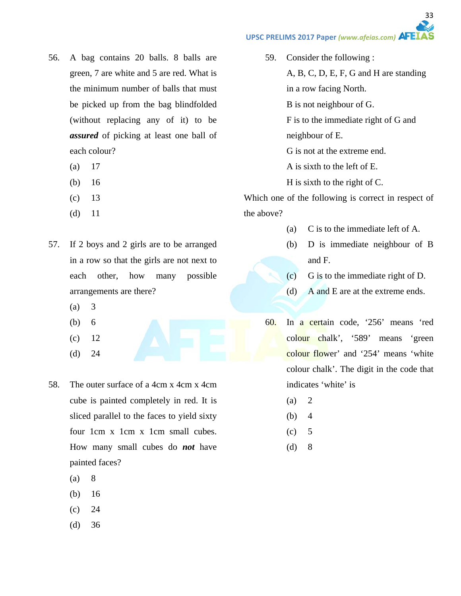- 56. A bag contains 20 balls. 8 balls are green, 7 are white and 5 are red. What is the minimum number of balls that must be picked up from the bag blindfolded (without replacing any of it) to be *assured* of picking at least one ball of each colour?
	- (a) 17
	- (b) 16
	- (c) 13
	- (d) 11
- 57. If 2 boys and 2 girls are to be arranged in a row so that the girls are not next to each other, how many possible arrangements are there?
	- (a) 3
	- (b) 6
	- (c) 12
	- (d) 24
- 58. The outer surface of a 4cm x 4cm x 4cm cube is painted completely in red. It is sliced parallel to the faces to yield sixty four 1cm x 1cm x 1cm small cubes. How many small cubes do *not* have painted faces?
	- (a) 8
	- (b) 16
	- $(c)$  24
	- (d) 36

59. Consider the following : A, B, C, D, E, F, G and H are standing in a row facing North. B is not neighbour of G. F is to the immediate right of G and neighbour of E. G is not at the extreme end. A is sixth to the left of E. H is sixth to the right of C.

33

Which one of the following is correct in respect of the above?

- (a) C is to the immediate left of A.
- (b) D is immediate neighbour of B and F.
- (c) G is to the immediate right of D.
- (d) A and E are at the extreme ends.
- 60. In a certain code, '256' means 'red colour chalk', '589' means 'green colour flower' and '254' means 'white colour chalk'. The digit in the code that indicates 'white' is
	- $(a) 2$
	- (b) 4
	- $(c) 5$
	- $(d) 8$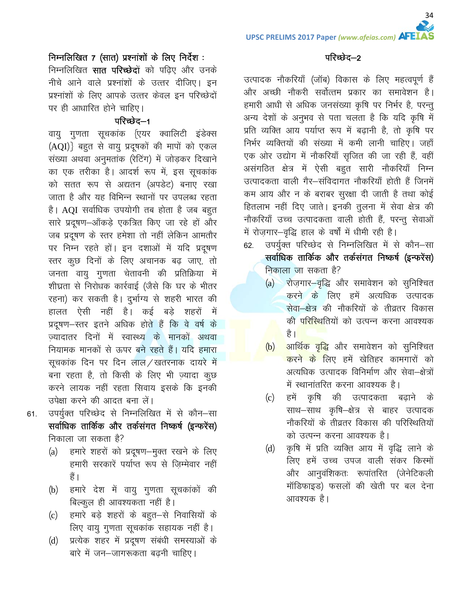# निम्नलिखित 7 (सात) प्रश्नांशों के लिए निर्देश:

निम्नलिखित **सात परिच्छेदों** को पढिए और उनके नीचे आने वाले प्रश्नांशों के उत्तर दीजिए। इन प्रश्नांशों के लिए आपके उत्तर केवल इन परिच्छेदों पर ही आधारित होने चाहिए।

# परिच्छेद–1

वायु गुणता सूचकांक {एयर क्वालिटी इंडेक्स (AQI)} बहुत से वायु प्रदूषकों की मापों को एकल संख्या अथवा अनुमतांक (रेटिंग) में जोड़कर दिखाने का एक तरीका है। आदर्श रूप में, इस सूचकांक को सतत रूप से अद्यतन (अपडेट) बनाए रखा जाता है और यह विभिन्न स्थानों पर उपलब्ध रहता है। AQI सर्वाधिक उपयोगी तब होता है जब बहुत सारे प्रदूषण-आँकड़े एकत्रित किए जा रहे हों और जब प्रदूषण के स्तर हमेशा तो नहीं लेकिन आमतौर पर निम्न रहते हों। इन दशाओं में यदि प्रदूषण स्तर कुछ दिनों के लिए अचानक बढ जाए, तो जनता वायू गूणता चेतावनी की प्रतिक्रिया में शीघ्रता से निरोधक कार्रवाई (जैसे कि घर के भीतर रहना) कर सकती है। दुर्भाग्य से शहरी भारत की हालत ऐसी नहीं है। कई बड़े शहरों में प्रदषण-स्तर इतने अधिक होते हैं कि वे वर्ष के ज्यादातर दिनों में स्वास्थ्य के मानकों अथवा नियामक मानकों से ऊपर बने रहते हैं। यदि हमारा सूचकांक दिन पर दिन लाल/खतरनाक दायरे में बना रहता है, तो किसी के लिए भी ज़्यादा कुछ करने लायक नहीं रहता सिवाय इसके कि इनकी उपेक्षा करने की आदत बना लें।

- उपर्युक्त परिच्छेद से निम्नलिखित में से कौन-सा 61. सर्वाधिक तार्किक और तर्कसंगत निष्कर्ष (इन्फरेंस) निकाला जा सकता है?
	- (a) हमारे शहरों को प्रदूषण-मुक्त रखने के लिए हमारी सरकारें पर्याप्त रूप से जिम्मेवार नहीं हैं ।
	- हमारे देश में वायु गुणता सूचकांकों की  $(b)$ बिल्कुल ही आवश्यकता नहीं है।
	- हमारे बड़े शहरों के बहुत—से निवासियों के  $(c)$ लिए वायु गुणता सूचकांक सहायक नहीं है।
	- प्रत्येक शहर में प्रदूषण संबंधी समस्याओं के  $(d)$ बारे में जन-जागरूकता बढनी चाहिए।

# परिच्छेद–2

उत्पादक नौकरियाँ (जॉब) विकास के लिए महत्वपूर्ण हैं .<br>और अच्छी नौकरी सर्वोत्तम प्रकार का समावेशन है। हमारी आधी से अधिक जनसंख्या कृषि पर निर्भर है, परन्त अन्य देशों के अनुभव से पता चलता है कि यदि कृषि में प्रति व्यक्ति आय पर्याप्त रूप में बढ़ानी है, तो कृषि पर निर्भर व्यक्तियों की संख्या में कमी लानी चाहिए। जहाँ एक ओर उद्योग में नौकरियाँ सुजित की जा रही हैं, वहीं असंगठित क्षेत्र में ऐसी बहुत सारी नौकरियाँ निम्न उत्पादकता वाली गैर–संविदागत नौकरियाँ होती हैं जिनमें कम आय और न के बराबर सुरक्षा दी जाती है तथा कोई हितलाभ नहीं दिए जाते। इनकी तुलना में सेवा क्षेत्र की नौकरियाँ उच्च उत्पादकता वाली होती हैं, परन्तू सेवाओं में रोजगार-वृद्धि हाल के वर्षों में धीमी रही है।

उपर्युक्त परिच्छेद से निम्नलिखित में से कौन-सा 62. सर्वाधिक तार्किक और तर्कसंगत निष्कर्ष (इन्फरेंस)

निकाला जा सकता है?

- रोजगार-वृद्धि और समावेशन को सुनिश्चित  $(a)$ करने के लिए हमें अत्यधिक उत्पादक सेवा—क्षेत्र की नौकरियों के तीव्रतर विकास की परिस्थितियों को उत्पन्न करना आवश्यक है।
- <mark>आर्थिक वृद्धि</mark> और समावेशन को सुनिश्चित  $(b)$ <mark>करने के लिए हमें खेतिहर कामगारों को</mark> अत्यधिक उत्पादक विनिर्माण और सेवा-क्षेत्रों में स्थानांतरित करना आवश्यक है।
- हमें कृषि की उत्पादकता बढ़ाने के  $(c)$ साथ-साथ कृषि-क्षेत्र से बाहर उत्पादक नौकरियों के तीव्रतर विकास की परिस्थितियों को उत्पन्न करना आवश्यक है।
- कृषि में प्रति व्यक्ति आय में वृद्धि लाने के  $(d)$ लिए हमें उच्च उपज वाली संकर किस्मों और आनुवंशिकतः रूपांतरित (जेनेटिकली मॉडिफाइड) फसलों की खेती पर बल देना आवश्यक है।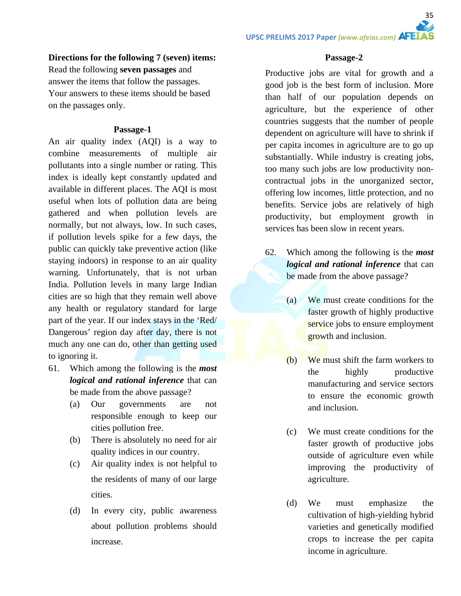# **Directions for the following 7 (seven) items:**

Read the following **seven passages** and answer the items that follow the passages. Your answers to these items should be based on the passages only.

#### **Passage-1**

 An air quality index (AQI) is a way to combine measurements of multiple air pollutants into a single number or rating. This index is ideally kept constantly updated and available in different places. The AQI is most useful when lots of pollution data are being gathered and when pollution levels are normally, but not always, low. In such cases, if pollution levels spike for a few days, the public can quickly take preventive action (like staying indoors) in response to an air quality warning. Unfortunately, that is not urban India. Pollution levels in many large Indian cities are so high that they remain well above any health or regulatory standard for large part of the year. If our index stays in the 'Red/ Dangerous' region day after day, there is not much any one can do, other than getting used to ignoring it.

- 61. Which among the following is the *most logical and rational inference* that can be made from the above passage?
	- (a) Our governments are not responsible enough to keep our cities pollution free.
	- (b) There is absolutely no need for air quality indices in our country.
	- (c) Air quality index is not helpful to the residents of many of our large cities.
	- (d) In every city, public awareness about pollution problems should increase.

# **Passage-2**

 Productive jobs are vital for growth and a good job is the best form of inclusion. More than half of our population depends on agriculture, but the experience of other countries suggests that the number of people dependent on agriculture will have to shrink if per capita incomes in agriculture are to go up substantially. While industry is creating jobs, too many such jobs are low productivity noncontractual jobs in the unorganized sector, offering low incomes, little protection, and no benefits. Service jobs are relatively of high productivity, but employment growth in services has been slow in recent years.

- 62. Which among the following is the *most logical and rational inference* that can be made from the above passage?
	- (a) We must create conditions for the faster growth of highly productive service jobs to ensure employment growth and inclusion.
	- (b) We must shift the farm workers to the highly productive manufacturing and service sectors to ensure the economic growth and inclusion.
	- (c) We must create conditions for the faster growth of productive jobs outside of agriculture even while improving the productivity of agriculture.
	- (d) We must emphasize the cultivation of high-yielding hybrid varieties and genetically modified crops to increase the per capita income in agriculture.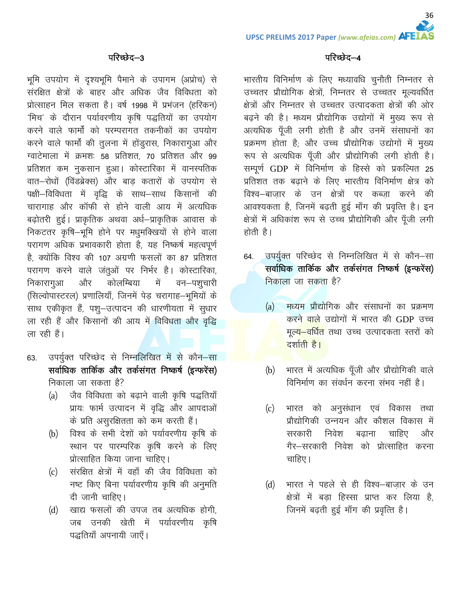# परिच्छेद–3

भूमि उपयोग में दृश्यभूमि पैमाने के उपागम (अप्रोच) से संरक्षित क्षेत्रों के बाहर और अधिक जैव विविधता को प्रोत्साहन मिल सकता है। वर्ष 1998 में प्रभंजन (हरिकन) 'मिच' के दौरान पर्यावरणीय कृषि पद्धतियों का उपयोग करने वाले फार्मों को परम्परागत तकनीकों का उपयोग करने वाले फार्मों की तुलना में होंडूरास, निकारागुआ और ग्वाटेमाला में क्रमशः 58 प्रतिशत, 70 प्रतिशत और 99 प्रतिशत कम नुकसान हुआ। कोस्टारिका में वानस्पतिक वात-रोधों (विंडब्रेक्स) और बाड़ कतारों के उपयोग से पक्षी–विविधता में वृद्धि के साथ–साथ किसानों की चारागाह और कॉफी से होने वाली आय में अत्यधिक बढ़ोतरी हुई। प्राकृतिक अथवा अर्ध–प्राकृतिक आवास के निकटतर कृषि-भूमि होने पर मधुमक्खियों से होने वाला परागण अधिक प्रभावकारी होता है, यह निष्कर्ष महत्वपूर्ण है, क्योंकि विश्व की 107 अग्रणी फसलों का 87 प्रतिशत परागण करने वाले जंतूओं पर निर्भर है। कोस्टारिका, निकारागुआ और कोलम्बिया में वन–पशुचारी (सिल्वोपास्टरल) प्रणालियाँ, जिनमें पेड़ चरागाह-भूमियों के साथ एकीकृत हैं, पशु-उत्पादन की धारणीयता में सुधार ला रही हैं और किसानों की आय में विविधता और वृद्धि ला रही हैं।

- उपर्युक्त परिच्छेद से निम्नलिखित में से कौन-सा 63. सर्वाधिक तार्किक और तर्कसंगत निष्कर्ष (इन्फरेंस) निकाला जा सकता है?
	- जैव विविधता को बढ़ाने वाली कृषि पद्धतियाँ  $(a)$ प्रायः फार्म उत्पादन में वृद्धि और आपदाओं के प्रति असुरक्षितता को कम करती हैं।
	- विश्व के सभी देशों को पर्यावरणीय कृषि के  $(b)$ स्थान पर पारम्परिक कृषि करने के लिए प्रोत्साहित किया जाना चाहिए।
	- संरक्षित क्षेत्रों में वहाँ की जैव विविधता को  $(c)$ नष्ट किए बिना पर्यावरणीय कृषि की अनुमति दी जानी चाहिए।
	- खाद्य फसलों की उपज तब अत्यधिक होगी.  $(d)$ जब उनकी खेती में पर्यावरणीय कृषि पद्धतियाँ अपनायी जाएँ।

# परिच्छेद–4

36

भारतीय विनिर्माण के लिए मध्यावधि चुनौती निम्नतर से उच्चतर प्रौद्योगिक क्षेत्रों, निम्नतर से उच्चतर मृल्यवर्धित क्षेत्रों और निम्नतर से उच्चतर उत्पादकता क्षेत्रों की ओर बढने की है। मध्यम प्रौद्योगिक उद्योगों में मख्य रूप से अत्यधिक पूँजी लगी होती है और उनमें संसाधनों का प्रक्रमण होता है; और उच्च प्रौद्योगिक उद्योगों में मुख्य रूप से अत्यधिक पूँजी और प्रौद्योगिकी लगी होती है। सम्पूर्ण GDP में विनिर्माण के हिस्से को प्रकल्पित 25 प्रतिशत तक बढाने के लिए भारतीय विनिर्माण क्षेत्र को विश्व—बाजार के उन क्षेत्रों पर कब्जा करने की आवश्यकता है, जिनमें बढ़ती हुई माँग की प्रवृत्ति है। इन क्षेत्रों में अधिकांश रूप से उच्च प्रौद्योगिकी और पूँजी लगी होती है।

- उपर्युक्त परिच्छेद से निम्नलिखित में से कौन-सा 64. सर्वाधिक तार्किक और तर्कसंगत निष्कर्ष (इन्फरेंस) निकाला जा सकता है?
	- मध्यम प्रौद्योगिक और संसाधनों का प्रक्रमण  $(a)$ करने वाले उद्योगों में भारत की GDP उच्च मूल्<mark>य—वर्धित</mark> तथा उच्च उत्पादकता स्तरों को <mark>दर्शाती है।</mark>
	- भारत में अत्यधिक पूँजी और प्रौद्योगिकी वाले  $(b)$ विनिर्माण का संवर्धन करना संभव नहीं है।
	- भारत को अनुसंधान एवं विकास तथा  $(c)$ प्रौद्योगिकी उन्नयन और कौशल विकास में और सरकारी निवेश चाहिए बढाना गैर–सरकारी निवेश को प्रोत्साहित करना चाहिए।
	- भारत ने पहले से ही विश्व—बाजार के उन  $(d)$ क्षेत्रों में बड़ा हिस्सा प्राप्त कर लिया है. जिनमें बढती हुई माँग की प्रवृत्ति है।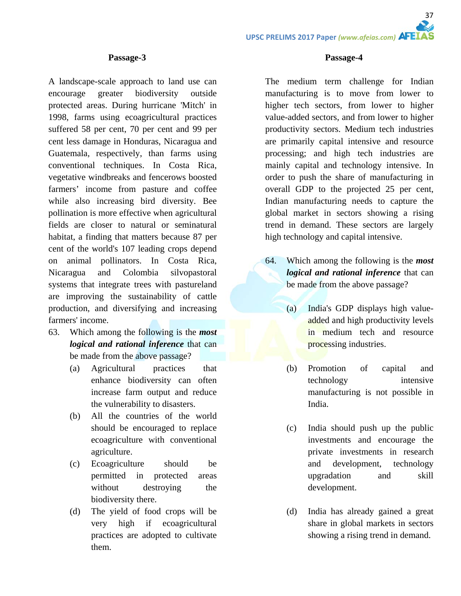#### **Passage-3**

 A landscape-scale approach to land use can encourage greater biodiversity outside protected areas. During hurricane 'Mitch' in 1998, farms using ecoagricultural practices suffered 58 per cent, 70 per cent and 99 per cent less damage in Honduras, Nicaragua and Guatemala, respectively, than farms using conventional techniques. In Costa Rica, vegetative windbreaks and fencerows boosted farmers' income from pasture and coffee while also increasing bird diversity. Bee pollination is more effective when agricultural fields are closer to natural or seminatural habitat, a finding that matters because 87 per cent of the world's 107 leading crops depend on animal pollinators. In Costa Rica, Nicaragua and Colombia silvopastoral systems that integrate trees with pastureland are improving the sustainability of cattle production, and diversifying and increasing farmers' income.

- 63. Which among the following is the *most logical and rational inference* that can be made from the above passage?
	- (a) Agricultural practices that enhance biodiversity can often increase farm output and reduce the vulnerability to disasters.
	- (b) All the countries of the world should be encouraged to replace ecoagriculture with conventional agriculture.
	- (c) Ecoagriculture should be permitted in protected areas without destroying the biodiversity there.
	- (d) The yield of food crops will be very high if ecoagricultural practices are adopted to cultivate them.

#### **Passage-4**

37

 The medium term challenge for Indian manufacturing is to move from lower to higher tech sectors, from lower to higher value-added sectors, and from lower to higher productivity sectors. Medium tech industries are primarily capital intensive and resource processing; and high tech industries are mainly capital and technology intensive. In order to push the share of manufacturing in overall GDP to the projected 25 per cent, Indian manufacturing needs to capture the global market in sectors showing a rising trend in demand. These sectors are largely high technology and capital intensive.

- 64. Which among the following is the *most logical and rational inference* that can be made from the above passage?
	- (a) India's GDP displays high valueadded and high productivity levels in medium tech and resource processing industries.
	- (b) Promotion of capital and technology intensive manufacturing is not possible in India.
	- (c) India should push up the public investments and encourage the private investments in research and development, technology upgradation and skill development.
	- (d) India has already gained a great share in global markets in sectors showing a rising trend in demand.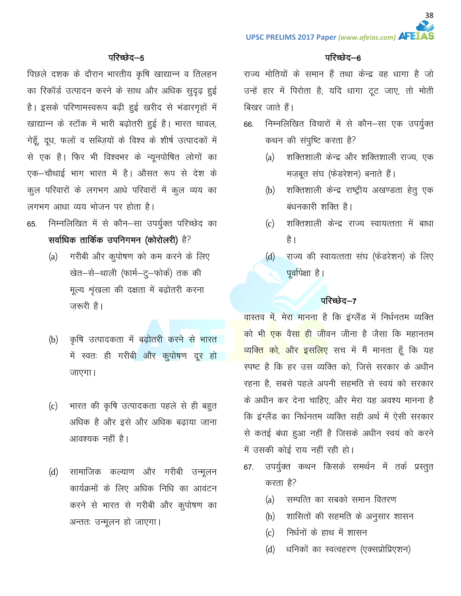38

# परिच्छेद–5

पिछले दशक के दौरान भारतीय कृषि खाद्यान्न व तिलहन का रिकॉर्ड उत्पादन करने के साथ और अधिक सुदृढ़ हुई है। इसके परिणामस्वरूप बढ़ी हुई खरीद से भंडारगृहों में खाद्यान्न के स्टॉक में भारी बढ़ोतरी हुई है। भारत चावल, गेहूँ, दूध, फलों व सब्ज़ियों के विश्व के शीर्ष उत्पादकों में से एक है। फिर भी विश्वभर के न्यूनपोषित लोगों का एक-चौथाई भाग भारत में है। औसत रूप से देश के कूल परिवारों के लगभग आधे परिवारों में कूल व्यय का लगभग आधा व्यय भोजन पर होता है।

- निम्नलिखित में से कौन–सा उपर्यूक्त परिच्छेद का 65. सर्वाधिक तार्किक उपनिगमन (कोरोलरी) है?
	- गरीबी और कुपोषण को कम करने के लिए  $(a)$ खेत-से-थाली (फार्म-टू-फोर्क) तक की मूल्य श्रृंखला की दक्षता में बढ़ोतरी करना जरूरी है।
	- कृषि उत्पादकता में बढ़ोतरी करने से भारत  $(b)$ में स्वतः ही गरीबी और कृपोषण दूर हो जाएगा।
	- भारत की कृषि उत्पादकता पहले से ही बहुत  $(c)$ अधिक है और इसे और अधिक बढाया जाना आवश्यक नहीं है।
	- $(d)$ सामाजिक कल्याण और गरीबी उन्मूलन कार्यक्रमों के लिए अधिक निधि का आवंटन करने से भारत से गरीबी और कुपोषण का अन्ततः उन्मूलन हो जाएगा।

# परिच्छेद–6

राज्य मोतियों के समान हैं तथा केन्द्र वह धागा है जो उन्हें हार में पिरोता है; यदि धागा टूट जाए, तो मोती बिखर जाते हैं।

- निम्नलिखित विचारों में से कौन-सा एक उपर्युक्त 66. कथन की संपुष्टि करता है?
	- शक्तिशाली केन्द्र और शक्तिशाली राज्य, एक  $(a)$ मज़बूत संघ (फेडरेशन) बनाते हैं।
	- शक्तिशाली केन्द्र राष्ट्रीय अखण्डता हेतू एक  $(b)$ बंधनकारी शक्ति है।
	- शक्तिशाली केन्द्र राज्य स्वायत्तता में बाधा  $(c)$ है ।
	- ्राज्य की स्वायत्तता संघ (फेडरेशन) के लिए  $(d)$ पूर्वापेक्षा है।

# परिच्छेद-7

वास्तव में, मेरा मानना है कि इंग्लैंड में निर्धनतम व्यक्ति <mark>को भी एक</mark> वैस<mark>ा ही जी</mark>वन जीना है जैसा कि महानतम <mark>व्यक्ति को, और इसलिए</mark> सच में मैं मानता हूँ कि यह स्पष्ट है कि हर उस व्यक्ति को, जिसे सरकार के अधीन रहना है. सबसे पहले अपनी सहमति से स्वयं को सरकार के अधीन कर देना चाहिए, और मेरा यह अवश्य मानना है कि इंग्लैंड का निर्धनतम व्यक्ति सही अर्थ में ऐसी सरकार से कतई बंधा हुआ नहीं है जिसके अधीन स्वयं को करने में उसकी कोई राय नहीं रही हो।

- उपर्युक्त कथन किसके समर्थन में तर्क प्रस्तुत 67. करता है?
	- सम्पत्ति का सबको समान वितरण  $(a)$
	- शासितों की सहमति के अनुसार शासन  $(b)$
	- निर्धनों के हाथ में शासन  $(c)$
	- धनिकों का स्वत्वहरण (एक्सप्रोप्रिएशन)  $(d)$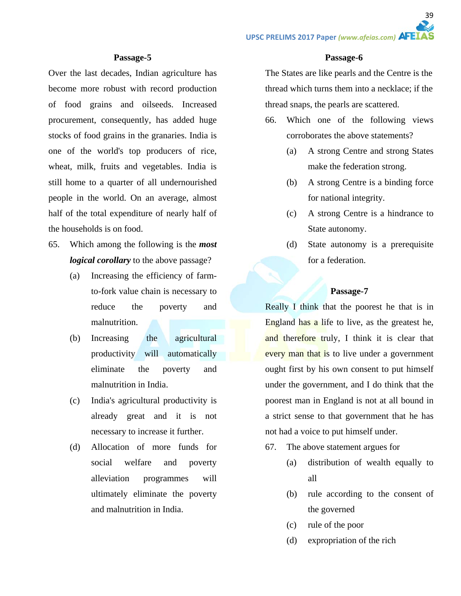#### **Passage-5**

 Over the last decades, Indian agriculture has become more robust with record production of food grains and oilseeds. Increased procurement, consequently, has added huge stocks of food grains in the granaries. India is one of the world's top producers of rice, wheat, milk, fruits and vegetables. India is still home to a quarter of all undernourished people in the world. On an average, almost half of the total expenditure of nearly half of the households is on food.

- 65. Which among the following is the *most logical corollary* to the above passage?
	- (a) Increasing the efficiency of farmto-fork value chain is necessary to reduce the poverty and malnutrition.
	- (b) Increasing the agricultural productivity will automatically eliminate the poverty and malnutrition in India.
	- (c) India's agricultural productivity is already great and it is not necessary to increase it further.
	- (d) Allocation of more funds for social welfare and poverty alleviation programmes will ultimately eliminate the poverty and malnutrition in India.

#### **Passage-6**

39

The States are like pearls and the Centre is the thread which turns them into a necklace; if the thread snaps, the pearls are scattered.

- 66. Which one of the following views corroborates the above statements?
	- (a) A strong Centre and strong States make the federation strong.
	- (b) A strong Centre is a binding force for national integrity.
	- (c) A strong Centre is a hindrance to State autonomy.
	- (d) State autonomy is a prerequisite for a federation.

## **Passage-7**

 Really I think that the poorest he that is in England has a life to live, as the greatest he, and therefore truly, I think it is clear that every man that is to live under a government ought first by his own consent to put himself under the government, and I do think that the poorest man in England is not at all bound in a strict sense to that government that he has not had a voice to put himself under.

- 67. The above statement argues for
	- (a) distribution of wealth equally to all
	- (b) rule according to the consent of the governed
	- (c) rule of the poor
	- (d) expropriation of the rich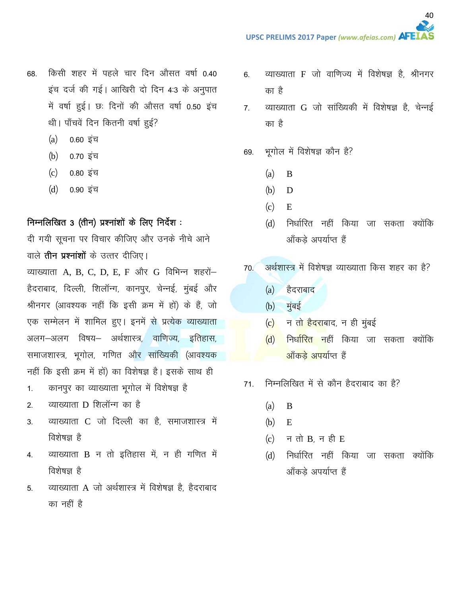40

- किसी शहर में पहले चार दिन औसत वर्षा 0.40 68. इंच दर्ज की गई। आखिरी दो दिन 4:3 के अनुपात में वर्षा हुई। छः दिनों की औसत वर्षा 0.50 इंच थी। पाँचवें दिन कितनी वर्षा हुई?
	- 0.60 इंच  $(a)$
	- 0.70 इंच  $(b)$
	- $(c)$ 0.80 इंच
	- (d) 0.90 इंच

# निम्नलिखित 3 (तीन) प्रश्नांशों के लिए निर्देश:

दी गयी सूचना पर विचार कीजिए और उनके नीचे आने वाले **तीन प्रश्नांशों** के उत्तर दीजिए।

व्याख्याता  $A$ ,  $B$ ,  $C$ ,  $D$ ,  $E$ ,  $F$  और  $G$  विभिन्न शहरों– हैदराबाद, दिल्ली, शिलॉन्ग, कानपुर, चेन्नई, मुंबई और श्रीनगर (आवश्यक नहीं कि इसी क्रम में हों) के हैं, जो एक सम्मेलन में शामिल हुए। इनमें से प्रत्येक व्याख्याता अलग–अलग विषय– अर्थशास्त्र, वाणिज्य, इतिहास, समाजशास्त्र, भूगोल, गणित और सांख्यिकी (आवश्यक नहीं कि इसी क्रम में हों) का विशेषज्ञ है। इसके साथ ही

- कानपुर का व्याख्याता भूगोल में विशेषज्ञ है  $1.$
- व्याख्याता D शिलॉन्ग का है  $2.$
- व्याख्याता C जो दिल्ली का है, समाजशास्त्र में 3. विशेषज्ञ है
- व्याख्याता B न तो इतिहास में, न ही गणित में  $4.$ विशेषज्ञ है
- व्याख्याता A जो अर्थशास्त्र में विशेषज्ञ है, हैदराबाद 5. का नहीं है
- व्याख्याता F जो वाणिज्य में विशेषज्ञ है, श्रीनगर 6. का है
- व्याख्याता G जो सांख्यिकी में विशेषज्ञ है, चेन्नई  $7<sub>1</sub>$ का है
- भूगोल में विशेषज्ञ कौन है? 69.
	- $(a)$  $\, {\bf B}$
	- $(b)$ D
	- $(c)$  $E$
	- $(d)$ निर्धारित नहीं किया जा सकता क्योंकि ऑकड़े अपर्याप्त हैं
- अर्थशास्त्र में विशेषज्ञ व्याख्याता किस शहर का है?  $70.$ 
	- $(a)$ हैदराबाद
	- $(b)$ मुंबई
	- न <mark>तो हैदरा</mark>बाद, न ही मुंबई  $(c)$
	- \_निर्धा<mark>रित न</mark>हीं किया जा सकता क्योंकि  $(d)$ <mark>ऑकडे अपर्याप्त हैं</mark>
- निम्नलिखित में से कौन हैदराबाद का है?  $71.$ 
	- $(a)$ B
	- $(b)$  $E$
	- $(c)$ न तो  $B$ , न ही  $E$
	- निर्धारित नहीं किया जा सकता क्योंकि  $(d)$ आँकड़े अपर्याप्त हैं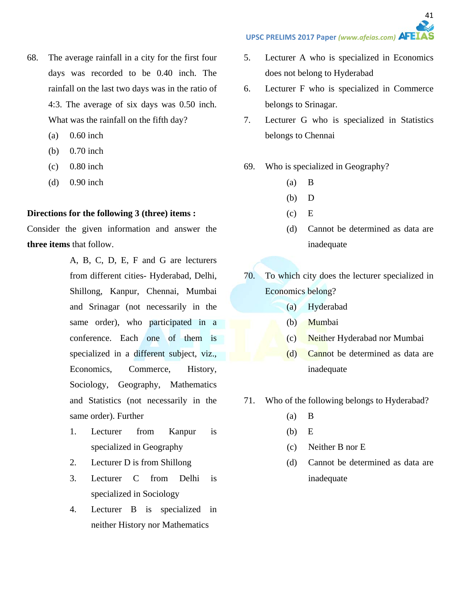- 68. The average rainfall in a city for the first four days was recorded to be 0.40 inch. The rainfall on the last two days was in the ratio of 4:3. The average of six days was 0.50 inch. What was the rainfall on the fifth day?
	- (a) 0.60 inch
	- (b) 0.70 inch
	- (c) 0.80 inch
	- (d) 0.90 inch

#### **Directions for the following 3 (three) items :**

Consider the given information and answer the **three items** that follow.

> A, B, C, D, E, F and G are lecturers from different cities- Hyderabad, Delhi, Shillong, Kanpur, Chennai, Mumbai and Srinagar (not necessarily in the same order), who participated in a conference. Each one of them is specialized in a different subject, viz., Economics, Commerce, History, Sociology, Geography, Mathematics and Statistics (not necessarily in the same order). Further

- 1. Lecturer from Kanpur is specialized in Geography
- 2. Lecturer D is from Shillong
- 3. Lecturer C from Delhi is specialized in Sociology
- 4. Lecturer B is specialized in neither History nor Mathematics

5. Lecturer A who is specialized in Economics does not belong to Hyderabad

41

- 6. Lecturer F who is specialized in Commerce belongs to Srinagar.
- 7. Lecturer G who is specialized in Statistics belongs to Chennai
- 69. Who is specialized in Geography?
	- $(a)$  B
	- (b) D
	- $(c)$  E
	- (d) Cannot be determined as data are inadequate
- 70. To which city does the lecturer specialized in Economics belong?
	- (a) Hyderabad
	- (b) Mumbai
	- (c) Neither Hyderabad nor Mumbai
	- (d) Cannot be determined as data are inadequate
- 71. Who of the following belongs to Hyderabad?
	- $(a)$  B
	- (b) E
	- (c) Neither B nor E
	- (d) Cannot be determined as data are inadequate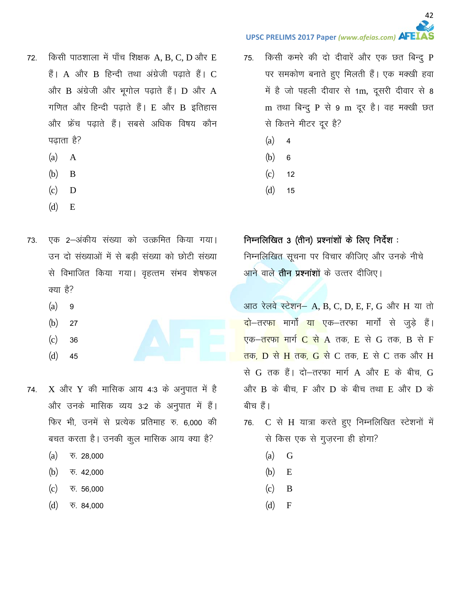42

- किसी पाठशाला में पाँच शिक्षक  $A, B, C, D$  और E 72.  $\ddot{\tilde{\epsilon}}$ । A और B हिन्दी तथा अंग्रेजी पढाते हैं। C और B अंग्रेजी और भूगोल पढ़ाते हैं।  $D$  और A गणित और हिन्दी पढाते हैं। E और B इतिहास और फ्रेंच पढाते हैं। सबसे अधिक विषय कौन पढाता है?
	- $(a)$  $\mathbf{A}$
	- $(b)$  $\mathbf{B}$
	- $(c)$ D
	- $(d)$  ${\bf E}$
- एक 2-अंकीय संख्या को उत्क्रमित किया गया। 73. उन दो संख्याओं में से बड़ी संख्या को छोटी संख्या से विभाजित किया गया। वृहत्तम संभव शेषफल क्या है?
	- $(a)$ 9
	- $(b)$ 27
	- $(c)$ 36
	- $(d)$ 45
- $X$  और  $Y$  की मासिक आय 4:3 के अनुपात में है 74. और उनके मासिक व्यय 3:2 के अनुपात में हैं। फिर भी, उनमें से प्रत्येक प्रतिमाह रु. 6,000 की बचत करता है। उनकी कुल मासिक आय क्या है?
	- $(a)$ रु. 28,000
	- $(b)$ ক. 42,000
	- $(c)$ ড. 56,000
	- $(d)$ रु. 84,000
- 75. किसी कमरे की दो दीवारें और एक छत बिन्दु P पर समकोण बनाते हुए मिलती हैं। एक मक्खी हवा में है जो पहली दीवार से 1m, दूसरी दीवार से 8 m तथा बिन्दु P से 9 m दूर है। वह मक्खी छत से कितने मीटर दूर है?
	- $(a)$  $\overline{4}$
	- $(b)$  $\,6\,$
	- $(c)$  $12$
	- $(d)$ 15

# निम्नलिखित 3 (तीन) प्रश्नांशों के लिए निर्देश:

निम्नलिखित सूचना पर विचार कीजिए और उनके नीचे आने वाले **तीन प्रश्नांशों** के उत्तर दीजिए।

- आठ रेलवे स्टेशन- A. B. C. D. E. F. G और H या तो <mark>दो</mark>–तरफ<mark>ा मार्गों या एक–तरफा मार्गों से जुड़े हैं।</mark> <mark>एक-तरफा मार्ग C से A</mark> तक, E से G तक, B से F <mark>तक, D से H तक, G से C तक, E से C तक और H</mark> से G तक हैं। दो-तरफा मार्ग A और E के बीच, G और B के बीच, F और D के बीच तथा E और D के बीच हैं।
- C से H यात्रा करते हुए निम्नलिखित स्टेशनों में 76. से किस एक से गुज़रना ही होगा?
	- $(a)$ G
	- $(b)$  ${\bf E}$
	- $(c)$  $\bf{B}$
	- $(d)$  $\rm F$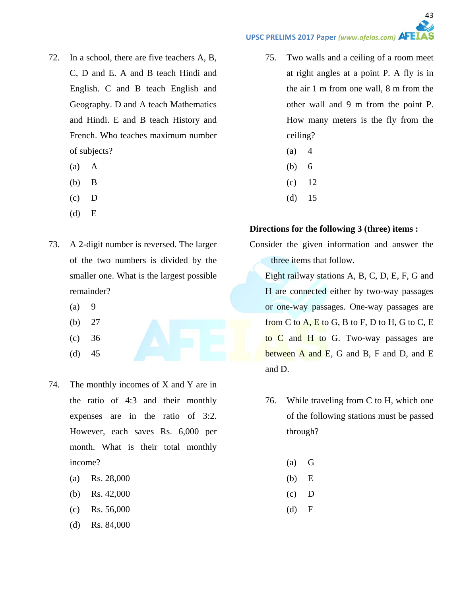- 72. In a school, there are five teachers A, B, C, D and E. A and B teach Hindi and English. C and B teach English and Geography. D and A teach Mathematics and Hindi. E and B teach History and French. Who teaches maximum number of subjects?
	- $(a)$  A
	- (b) B
	- $(c)$  D
	- $(d)$  E
- 73. A 2-digit number is reversed. The larger of the two numbers is divided by the smaller one. What is the largest possible remainder?
	- $(a) 9$
	- (b) 27
	- (c) 36
	- (d) 45
- 74. The monthly incomes of X and Y are in the ratio of 4:3 and their monthly expenses are in the ratio of 3:2. However, each saves Rs. 6,000 per month. What is their total monthly income?
	- (a) Rs. 28,000
	- (b) Rs. 42,000
	- (c) Rs. 56,000
	- (d) Rs. 84,000

75. Two walls and a ceiling of a room meet at right angles at a point P. A fly is in the air 1 m from one wall, 8 m from the other wall and 9 m from the point P. How many meters is the fly from the ceiling?

43

- $(a)$  4
- (b) 6
- (c) 12
- (d) 15

#### **Directions for the following 3 (three) items :**

Consider the given information and answer the three items that follow.

Eight railway stations A, B, C, D, E, F, G and H are connected either by two-way passages or one-way passages. One-way passages are from C to  $\overline{A}$ ,  $\overline{E}$  to  $G$ ,  $B$  to  $F$ ,  $D$  to  $H$ ,  $G$  to  $C$ ,  $E$ to C and H to G. Two-way passages are between A and E, G and B, F and D, and E and D.

- 76. While traveling from C to H, which one of the following stations must be passed through?
	- (a) G
	- (b) E
	- $(c)$  D
	- (d) F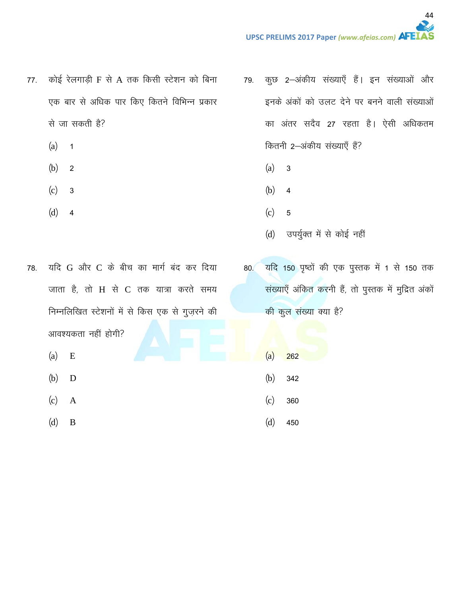- कोई रेलगाड़ी F से A तक किसी स्टेशन को बिना  $77.$ एक बार से अधिक पार किए कितने विभिन्न प्रकार से जा सकती है?
	- $(a)$  $\overline{1}$
	- $(b)$  $\overline{2}$
	- $(c)$  $\mathbf{3}$
	- $(d)$  $\overline{4}$
	-
	-
	-
- यदि G और C के बीच का मार्ग बंद कर दिया 78. जाता है, तो H से C तक यात्रा करते समय निम्नलिखित स्टेशनों में से किस एक से गुज़रने की आवश्यकता नहीं होगी?
	- $(a)$  ${\bf E}$
	- $(b)$ D
	- $(c)$  $\mathbf{A}$
	- $(d)$  $\, {\bf B}$
- कुछ 2-अंकीय संख्याएँ हैं। इन संख्याओं और 79. इनके अंकों को उलट देने पर बनने वाली संख्याओं का अंतर सदैव 27 रहता है। ऐसी अधिकतम कितनी 2-अंकीय संख्याएँ हैं?
	- $(a)$  $\overline{3}$
	- $(b)$  $\overline{4}$
	- $(c)$  $\overline{5}$
	- उपर्युक्त में से कोई नहीं  $(d)$
- यदि 150 पृष्ठों की एक पुस्तक में 1 से 150 तक  $80.$ संख्याएँ अंकित करनी हैं, तो पुस्तक में मुद्रित अंकों की कूल संख्या क्या है?
	- $(a)$ 262  $(b)$ 342
	- $(c)$ 360
	- $(d)$ 450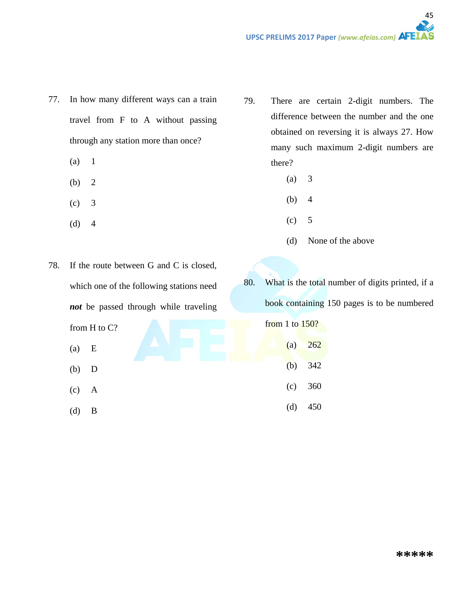- 77. In how many different ways can a train travel from F to A without passing through any station more than once?
	- $(a)$  1
	- (b) 2
	- $(c)$  3
	- $(d) 4$
- 78. If the route between G and C is closed, which one of the following stations need *not* be passed through while traveling from H to C?  $(a)$  E (b) D  $(c)$  A
	- (d) B
- 79. There are certain 2-digit numbers. The difference between the number and the one obtained on reversing it is always 27. How many such maximum 2-digit numbers are there?
	- $(a) 3$
	- (b) 4
	- $(c) 5$

 $(a)$  262

(b) 342

(c) 360

(d) 450

- (d) None of the above
- 80. What is the total number of digits printed, if a book containing 150 pages is to be numbered from 1 to 150?

**\*\*\*\*\***